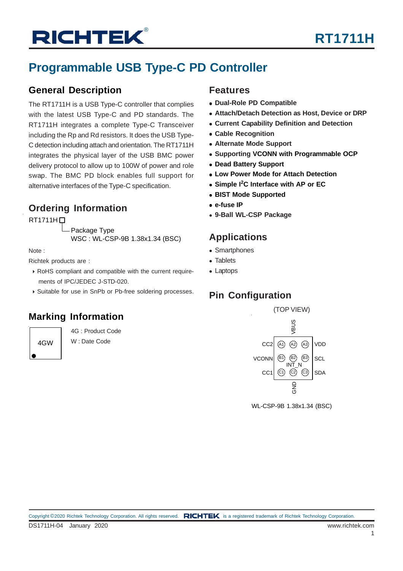### **Programmable USB Type-C PD Controller**

### **General Description**

The RT1711H is a USB Type-C controller that complies with the latest USB Type-C and PD standards. The RT1711H integrates a complete Type-C Transceiver including the Rp and Rd resistors. It does the USB Type-C detection including attach and orientation. The RT1711H integrates the physical layer of the USB BMC power delivery protocol to allow up to 100W of power and role swap. The BMC PD block enables full support for alternative interfaces of the Type-C specification.

### **Ordering Information**

#### $RT1711H$

Package Type WSC : WL-CSP-9B 1.38x1.34 (BSC)

Note :

Richtek products are :

- RoHS compliant and compatible with the current require ments of IPC/JEDEC J-STD-020.
- Suitable for use in SnPb or Pb-free soldering processes.

### **Marking Information**

4GW

4G : Product Code W : Date Code

### **Features**

- **Dual-Role PD Compatible**
- **Attach/Detach Detection as Host, Device or DRP**
- **Current Capability Definition and Detection**
- **Cable Recognition**
- **Alternate Mode Support**
- **Supporting VCONN with Programmable OCP**
- **Dead Battery Support**
- **Low Power Mode for Attach Detection**
- **Simple I2 C Interface with AP or EC**
- **BIST Mode Supported**
- **e-fuse IP**
- **9-Ball WL-CSP Package**

### **Applications**

- Smartphones
- Tablets
- Laptops

### **Pin Configuration**



WL-CSP-9B 1.38x1.34 (BSC)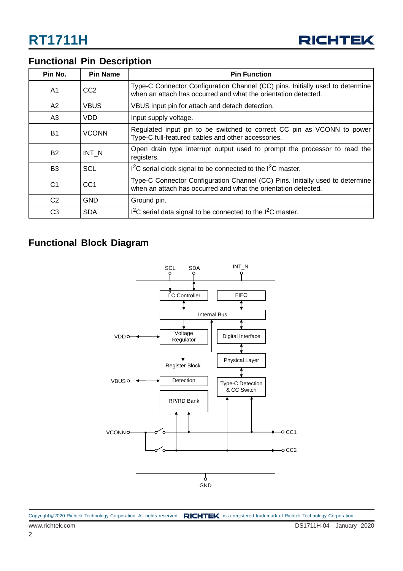

### **Functional Pin Description**

| Pin No.        | <b>Pin Name</b>                                                                                  | <b>Pin Function</b>                                                                                                                             |  |  |
|----------------|--------------------------------------------------------------------------------------------------|-------------------------------------------------------------------------------------------------------------------------------------------------|--|--|
| A <sub>1</sub> | CC <sub>2</sub>                                                                                  | Type-C Connector Configuration Channel (CC) pins. Initially used to determine<br>when an attach has occurred and what the orientation detected. |  |  |
| A2             | VBUS                                                                                             | VBUS input pin for attach and detach detection.                                                                                                 |  |  |
| A <sub>3</sub> | VDD                                                                                              | Input supply voltage.                                                                                                                           |  |  |
| <b>B1</b>      | <b>VCONN</b>                                                                                     | Regulated input pin to be switched to correct CC pin as VCONN to power<br>Type-C full-featured cables and other accessories.                    |  |  |
| <b>B2</b>      | Open drain type interrupt output used to prompt the processor to read the<br>INT N<br>registers. |                                                                                                                                                 |  |  |
| B <sub>3</sub> | SCL                                                                                              | $12C$ serial clock signal to be connected to the $12C$ master.                                                                                  |  |  |
| C <sub>1</sub> | CC <sub>1</sub>                                                                                  | Type-C Connector Configuration Channel (CC) Pins. Initially used to determine<br>when an attach has occurred and what the orientation detected. |  |  |
| C <sub>2</sub> | <b>GND</b>                                                                                       | Ground pin.                                                                                                                                     |  |  |
| C <sub>3</sub> | <b>SDA</b>                                                                                       | $12C$ serial data signal to be connected to the $12C$ master.                                                                                   |  |  |

### **Functional Block Diagram**



| Copyright ©2020 Richtek Technology Corporation. All rights reserved. RICHTEK is a registered trademark of Richtek Technology Corporation. |  |  |  |
|-------------------------------------------------------------------------------------------------------------------------------------------|--|--|--|
|-------------------------------------------------------------------------------------------------------------------------------------------|--|--|--|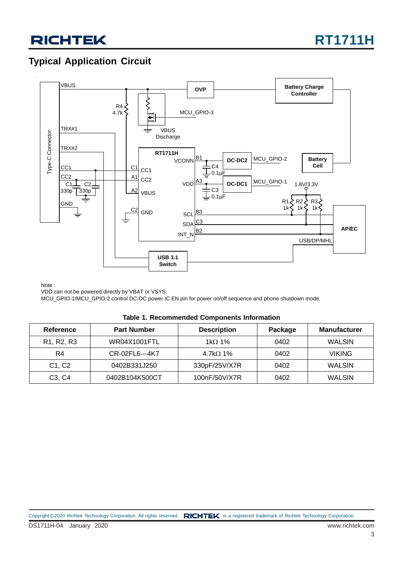### **Typical Application Circuit**



Note :

VDD can not be powered directly by VBAT or VSYS.

MCU\_GPIO-1/MCU\_GPIO-2 control DC-DC power IC EN pin for power on/off sequence and phone shutdown mode.

| Table 1. Recommended Components Information |
|---------------------------------------------|
|---------------------------------------------|

| Reference                                        | <b>Part Number</b> | <b>Description</b> | Package | <b>Manufacturer</b> |
|--------------------------------------------------|--------------------|--------------------|---------|---------------------|
| R <sub>1</sub> , R <sub>2</sub> , R <sub>3</sub> | WR04X1001FTL       | 1k $\Omega$ 1%     | 0402    | WALSIN              |
| R4                                               | CR-02FL6---4K7     | 4.7k $\Omega$ 1%   | 0402    | <b>VIKING</b>       |
| C <sub>1</sub> , C <sub>2</sub>                  | 0402B331J250       | 330pF/25V/X7R      | 0402    | <b>WALSIN</b>       |
| C <sub>3</sub> , C <sub>4</sub>                  | 0402B104K500CT     | 100nF/50V/X7R      | 0402    | <b>WALSIN</b>       |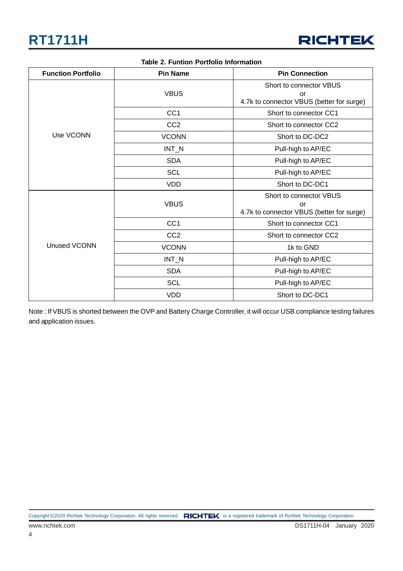

| <b>Function Portfolio</b> | <b>Pin Name</b> | <b>Pin Connection</b>                                                      |  |  |
|---------------------------|-----------------|----------------------------------------------------------------------------|--|--|
|                           | <b>VBUS</b>     | Short to connector VBUS<br>or<br>4.7k to connector VBUS (better for surge) |  |  |
|                           | CC <sub>1</sub> | Short to connector CC1                                                     |  |  |
|                           | CC <sub>2</sub> | Short to connector CC2                                                     |  |  |
| Use VCONN                 | <b>VCONN</b>    | Short to DC-DC2                                                            |  |  |
|                           | $INT_N$         | Pull-high to AP/EC                                                         |  |  |
|                           | <b>SDA</b>      | Pull-high to AP/EC                                                         |  |  |
|                           | <b>SCL</b>      | Pull-high to AP/EC                                                         |  |  |
|                           | <b>VDD</b>      | Short to DC-DC1                                                            |  |  |
|                           | <b>VBUS</b>     | Short to connector VBUS<br>or<br>4.7k to connector VBUS (better for surge) |  |  |
| Unused VCONN              | CC <sub>1</sub> | Short to connector CC1                                                     |  |  |
|                           | CC <sub>2</sub> | Short to connector CC2                                                     |  |  |
|                           | <b>VCONN</b>    | 1k to GND                                                                  |  |  |
|                           | $INT_N$         | Pull-high to AP/EC                                                         |  |  |
|                           | <b>SDA</b>      | Pull-high to AP/EC                                                         |  |  |
|                           | <b>SCL</b>      | Pull-high to AP/EC                                                         |  |  |
|                           | <b>VDD</b>      | Short to DC-DC1                                                            |  |  |

#### **Table 2. Funtion Portfolio Information**

Note : If VBUS is shorted between the OVP and Battery Charge Controller, it will occur USB compliance testing failures and application issues.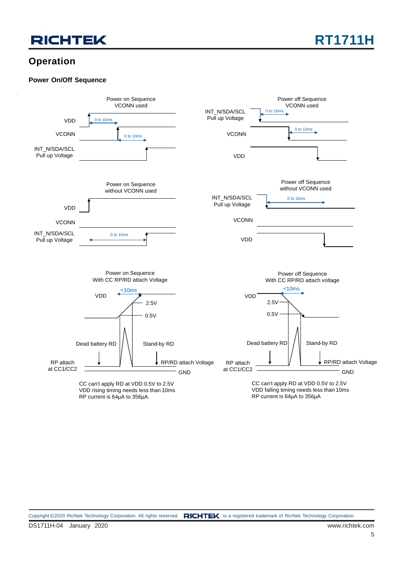

### **Operation**

#### **Power On/Off Sequence**

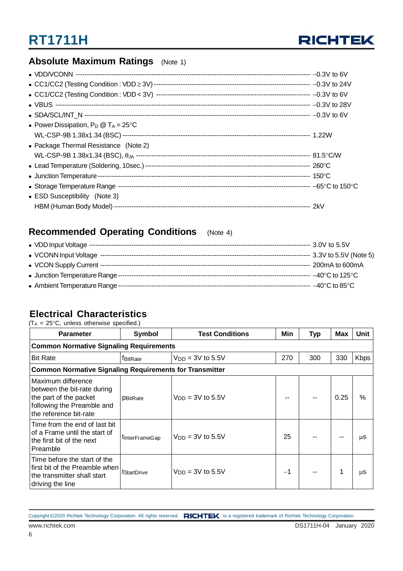

### **Absolute Maximum Ratings** (Note 1)

| • Power Dissipation, $P_D @ T_A = 25^{\circ}C$ |  |
|------------------------------------------------|--|
|                                                |  |
| • Package Thermal Resistance (Note 2)          |  |
|                                                |  |
|                                                |  |
|                                                |  |
|                                                |  |
| • ESD Susceptibility (Note 3)                  |  |
| HBM (Human Body Model) --                      |  |

### **Recommended Operating Conditions** (Note 4)

### **Electrical Characteristics**

 $(T_A = 25^{\circ}C$ , unless otherwise specified.)

| <b>Parameter</b>                                                                                                                    | Symbol                 | Min                   | <b>Typ</b> | <b>Max</b> | Unit |             |  |  |
|-------------------------------------------------------------------------------------------------------------------------------------|------------------------|-----------------------|------------|------------|------|-------------|--|--|
| <b>Common Normative Signaling Requirements</b>                                                                                      |                        |                       |            |            |      |             |  |  |
| <b>Bit Rate</b>                                                                                                                     | fBitRate               | $V_{DD} = 3V$ to 5.5V | 270        | 300        | 330  | <b>Kbps</b> |  |  |
| <b>Common Normative Signaling Requirements for Transmitter</b>                                                                      |                        |                       |            |            |      |             |  |  |
| Maximum difference<br>between the bit-rate during<br>the part of the packet<br>following the Preamble and<br>the reference bit-rate | <b>PBitRate</b>        | $V_{DD} = 3V$ to 5.5V |            |            | 0.25 | %           |  |  |
| Time from the end of last bit<br>of a Frame until the start of<br>the first bit of the next<br>Preamble                             | <b>t</b> InterFrameGap | $V_{DD} = 3V$ to 5.5V | 25         |            |      | μS          |  |  |
| Time before the start of the<br>first bit of the Preamble when<br>the transmitter shall start<br>driving the line                   | tStartDrive            | $VDD = 3V$ to 5.5V    | $-1$       |            | 1    | μS          |  |  |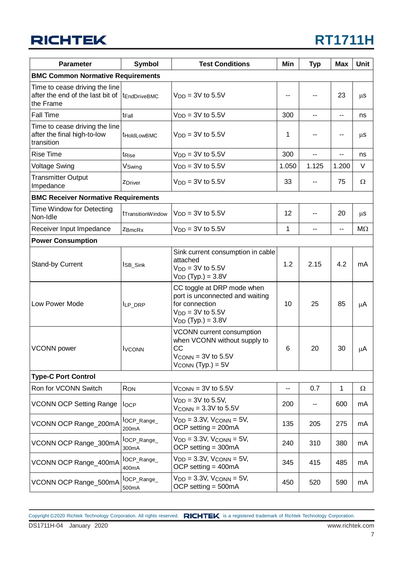## **RT1711H**

| <b>Parameter</b>                                                                | <b>Symbol</b>           | <b>Test Conditions</b>                                                                                                             |       | <b>Typ</b> | <b>Max</b>   | <b>Unit</b> |
|---------------------------------------------------------------------------------|-------------------------|------------------------------------------------------------------------------------------------------------------------------------|-------|------------|--------------|-------------|
| <b>BMC Common Normative Requirements</b>                                        |                         |                                                                                                                                    |       |            |              |             |
| Time to cease driving the line<br>after the end of the last bit of<br>the Frame | tEndDriveBMC            | $V_{DD} = 3V$ to 5.5V                                                                                                              |       | --         | 23           | $\mu$ S     |
| Fall Time                                                                       | t <sub>Fall</sub>       | $V_{DD} = 3V$ to 5.5V                                                                                                              | 300   | --         | --           | ns          |
| Time to cease driving the line<br>after the final high-to-low<br>transition     | t <sub>Hold</sub> owBMC | $VDD = 3V$ to 5.5V                                                                                                                 | 1     |            | --           | μS          |
| <b>Rise Time</b>                                                                | tRise                   | $VDD = 3V$ to 5.5V                                                                                                                 | 300   | --         | --           | ns          |
| <b>Voltage Swing</b>                                                            | VSwing                  | $V_{DD} = 3V$ to 5.5V                                                                                                              | 1.050 | 1.125      | 1.200        | V           |
| <b>Transmitter Output</b><br>Impedance                                          | ZDriver                 | $V_{DD} = 3V$ to 5.5V                                                                                                              | 33    |            | 75           | Ω           |
| <b>BMC Receiver Normative Requirements</b>                                      |                         |                                                                                                                                    |       |            |              |             |
| Time Window for Detecting<br>Non-Idle                                           | tTransitionWindow       | $VDD = 3V$ to 5.5V                                                                                                                 | 12    | --         | 20           | $\mu$ S     |
| Receiver Input Impedance                                                        | ZBmcRx                  | $V_{DD} = 3V$ to 5.5V                                                                                                              | 1     | ۰.         | --           | $M\Omega$   |
| <b>Power Consumption</b>                                                        |                         |                                                                                                                                    |       |            |              |             |
| Stand-by Current                                                                | ISB_Sink                | Sink current consumption in cable<br>attached<br>$V_{DD} = 3V$ to 5.5V<br>$V_{DD}$ (Typ.) = 3.8V                                   | 1.2   | 2.15       | 4.2          | mA          |
| Low Power Mode                                                                  | ILP_DRP                 | CC toggle at DRP mode when<br>port is unconnected and waiting<br>for connection<br>$V_{DD} = 3V$ to 5.5V<br>$V_{DD}$ (Typ.) = 3.8V | 10    | 25         | 85           | μA          |
| <b>VCONN</b> power                                                              | <b>I</b> VCONN          | VCONN current consumption<br>when VCONN without supply to<br><b>CC</b><br>$V_{CONN} = 3V$ to 5.5V<br>$V_{CONN}$ (Typ.) = $5V$      | 6     | 20         | 30           | μA          |
| <b>Type-C Port Control</b>                                                      |                         |                                                                                                                                    |       |            |              |             |
| Ron for VCONN Switch                                                            | RON                     | $V_{\text{CONN}} = 3V$ to 5.5V                                                                                                     | н.    | 0.7        | $\mathbf{1}$ | $\Omega$    |
| <b>VCONN OCP Setting Range</b>                                                  | <b>I</b> OCP            | $V_{DD} = 3V$ to 5.5V,<br>$V_{\text{CONN}} = 3.3V$ to 5.5V                                                                         | 200   | --         | 600          | mA          |
| VCONN OCP Range_200mA                                                           | lOCP_Range_<br>200mA    | $V_{DD} = 3.3V$ , $V_{COMN} = 5V$ ,<br>OCP setting $= 200 \text{mA}$                                                               | 135   | 205        | 275          | mA          |
| VCONN OCP Range_300mA                                                           | lOCP_Range_<br>300mA    | $V_{DD} = 3.3V$ , $V_{CONN} = 5V$ ,<br>OCP setting $=$ 300mA                                                                       | 240   | 310        | 380          | mA          |
| VCONN OCP Range_400mA                                                           | lOCP_Range_<br>400mA    | $V_{DD} = 3.3V$ , $V_{CONN} = 5V$ ,<br>OCP setting $=$ 400mA                                                                       | 345   | 415        | 485          | mA          |
| VCONN OCP Range_500mA                                                           | $locP_Range$<br>500mA   | $V_{DD} = 3.3V$ , $V_{CONN} = 5V$ ,<br>OCP setting $=$ 500mA                                                                       | 450   | 520        | 590          | mA          |

DS1711H-04 January 2020 www.richtek.com Copyright ©2020 Richtek Technology Corporation. All rights reserved. RICHTEK is a registered trademark of Richtek Technology Corporation.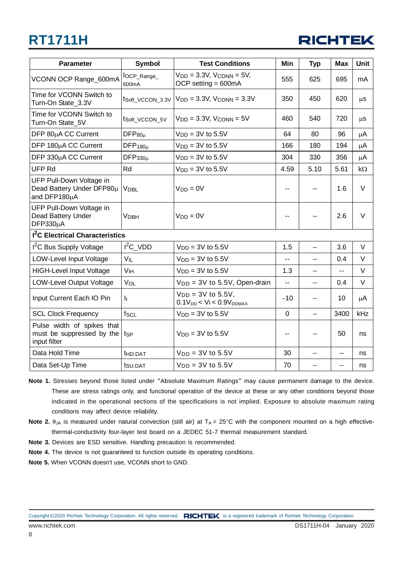

| <b>Parameter</b>                                                        | <b>Symbol</b>         | <b>Test Conditions</b>                                               | Min            | <b>Typ</b>     | <b>Max</b>     | <b>Unit</b> |
|-------------------------------------------------------------------------|-----------------------|----------------------------------------------------------------------|----------------|----------------|----------------|-------------|
| VCONN OCP Range_600mA                                                   | $locP_Range$<br>600mA | $V_{DD} = 3.3V$ , $V_{CONN} = 5V$ ,<br>OCP setting $= 600 \text{mA}$ | 555            | 625            | 695            | mA          |
| Time for VCONN Switch to<br>Turn-On State 3.3V                          | tSoft_VCCON_3.3V      | $VDD = 3.3V$ , $VCONN = 3.3V$                                        | 350            | 450            | 620            | $\mu$ s     |
| Time for VCONN Switch to<br>Turn-On State_5V                            | tSoft_VCCON_5V        | $V_{DD} = 3.3V$ , $V_{COMN} = 5V$                                    | 460            | 540            | 720            | μS          |
| DFP 80µA CC Current                                                     | $DFP_{80u}$           | $VDD = 3V$ to 5.5V                                                   | 64             | 80             | 96             | μA          |
| DFP 180µA CC Current                                                    | $DFP_{180\mu}$        | $VDD = 3V$ to 5.5V                                                   | 166            | 180            | 194            | μA          |
| DFP 330µA CC Current                                                    | $DFP_{330\mu}$        | $VDD = 3V$ to 5.5V                                                   | 304            | 330            | 356            | μA          |
| <b>UFP Rd</b>                                                           | Rd                    | $V_{DD} = 3V$ to 5.5V                                                | 4.59           | 5.10           | 5.61           | kΩ          |
| UFP Pull-Down Voltage in<br>Dead Battery Under DFP80µ<br>and DFP180µA   | <b>VDBL</b>           | $V_{DD} = 0V$                                                        | --             |                | 1.6            | $\vee$      |
| UFP Pull-Down Voltage in<br>Dead Battery Under<br>$DFP330\mu A$         | <b>VDBH</b>           | $V_{DD} = 0V$                                                        | $-$            |                | 2.6            | $\vee$      |
| <b>1<sup>2</sup>C Electrical Characteristics</b>                        |                       |                                                                      |                |                |                |             |
| <sup>2</sup> C Bus Supply Voltage                                       | $I^2C$ VDD            | $V_{DD} = 3V$ to 5.5V                                                | 1.5            | -−             | 3.6            | V           |
| LOW-Level Input Voltage                                                 | VIL                   | $VDD = 3V$ to 5.5V                                                   | $-$            | $\overline{a}$ | 0.4            | V           |
| <b>HIGH-Level Input Voltage</b>                                         | V <sub>IH</sub>       | $VDD = 3V$ to 5.5V                                                   | 1.3            | ۰.             | $\overline{a}$ | V           |
| LOW-Level Output Voltage                                                | VOL                   | $V_{DD} = 3V$ to 5.5V, Open-drain                                    | $\overline{a}$ | --             | 0.4            | V           |
| Input Current Each IO Pin                                               | II.                   | $V_{DD} = 3V$ to 5.5V,<br>$0.1V_{DD}$ < $V_I$ < $0.9V_{DDMAX}$       | $-10$          | --             | 10             | μA          |
| <b>SCL Clock Frequency</b>                                              | $f_{SCL}$             | $VDD = 3V$ to 5.5V                                                   | $\mathbf 0$    | --             | 3400           | kHz         |
| Pulse width of spikes that<br>must be suppressed by the<br>input filter | tsp                   | $VDD = 3V$ to 5.5V                                                   | $-$            | --             | 50             | ns          |
| Data Hold Time                                                          | t <sub>HD:DAT</sub>   | $V_{DD} = 3V$ to 5.5V                                                | 30             | --             | --             | ns          |
| Data Set-Up Time                                                        | t <sub>SU:DAT</sub>   | $V_{DD} = 3V$ to 5.5V                                                | 70             |                | --             | ns          |

- **Note 1.** Stresses beyond those listed under "Absolute Maximum Ratings" may cause permanent damage to the device. These are stress ratings only, and functional operation of the device at these or any other conditions beyond those indicated in the operational sections of the specifications is not implied. Exposure to absolute maximum rating conditions may affect device reliability.
- **Note 2.**  $\theta_{JA}$  is measured under natural convection (still air) at  $T_A = 25^\circ$ C with the component mounted on a high effectivethermal-conductivity four-layer test board on a JEDEC 51-7 thermal measurement standard.
- **Note 3.** Devices are ESD sensitive. Handling precaution is recommended.
- **Note 4.** The device is not guaranteed to function outside its operating conditions.
- **Note 5.** When VCONN doesn't use, VCONN short to GND.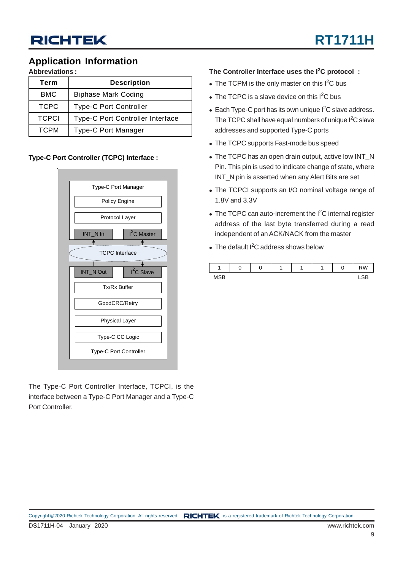### **Application Information**

**Abbreviations :**

| Term         | <b>Description</b>               |  |  |  |  |  |
|--------------|----------------------------------|--|--|--|--|--|
| <b>BMC</b>   | <b>Biphase Mark Coding</b>       |  |  |  |  |  |
| <b>TCPC</b>  | <b>Type-C Port Controller</b>    |  |  |  |  |  |
| <b>TCPCI</b> | Type-C Port Controller Interface |  |  |  |  |  |
| <b>TCPM</b>  | <b>Type-C Port Manager</b>       |  |  |  |  |  |

#### **Type-C Port Controller (TCPC) Interface :**



The Type-C Port Controller Interface, TCPCI, is the interface between a Type-C Port Manager and a Type-C Port Controller.

#### **The Controller Interface uses the I<sup>2</sup> C protocol :**

- $\bullet$  The TCPM is the only master on this I<sup>2</sup>C bus
- $\bullet$  The TCPC is a slave device on this I<sup>2</sup>C bus
- $\bullet$  Each Type-C port has its own unique I<sup>2</sup>C slave address. The TCPC shall have equal numbers of unique  $l^2C$  slave addresses and supported Type-C ports
- The TCPC supports Fast-mode bus speed
- The TCPC has an open drain output, active low INT\_N Pin. This pin is used to indicate change of state, where INT\_N pin is asserted when any Alert Bits are set
- The TCPCI supports an I/O nominal voltage range of 1.8V and 3.3V
- $\bullet$  The TCPC can auto-increment the I<sup>2</sup>C internal register address of the last byte transferred during a read independent of an ACK/NACK from the master
- $\bullet$  The default I<sup>2</sup>C address shows below

|            | u |  |  | w | <b>RW</b> |
|------------|---|--|--|---|-----------|
| <b>MSB</b> |   |  |  |   | ັ<br>-    |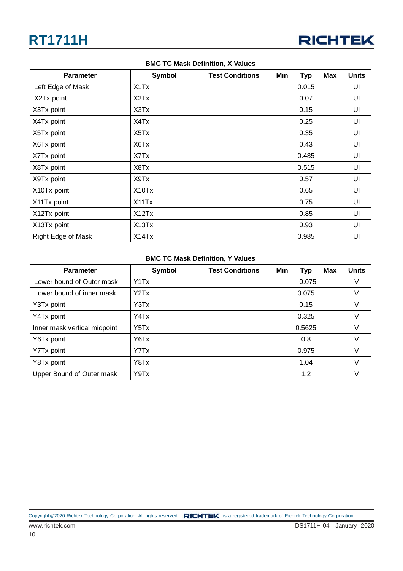

| <b>BMC TC Mask Definition, X Values</b> |                               |                        |     |            |            |              |  |  |  |
|-----------------------------------------|-------------------------------|------------------------|-----|------------|------------|--------------|--|--|--|
| <b>Parameter</b>                        | <b>Symbol</b>                 | <b>Test Conditions</b> | Min | <b>Typ</b> | <b>Max</b> | <b>Units</b> |  |  |  |
| Left Edge of Mask                       | X <sub>1</sub> T <sub>x</sub> |                        |     | 0.015      |            | UI           |  |  |  |
| X2Tx point                              | X <sub>2</sub> T <sub>x</sub> |                        |     | 0.07       |            | UI           |  |  |  |
| X3Tx point                              | X3Tx                          |                        |     | 0.15       |            | UI           |  |  |  |
| X4Tx point                              | X4Tx                          |                        |     | 0.25       |            | UI           |  |  |  |
| X5Tx point                              | X5Tx                          |                        |     | 0.35       |            | UI           |  |  |  |
| X6Tx point                              | X6Tx                          |                        |     | 0.43       |            | UI           |  |  |  |
| X7Tx point                              | X7Tx                          |                        |     | 0.485      |            | UI           |  |  |  |
| X8Tx point                              | X8Tx                          |                        |     | 0.515      |            | UI           |  |  |  |
| X9Tx point                              | X9Tx                          |                        |     | 0.57       |            | UI           |  |  |  |
| X10Tx point                             | X10Tx                         |                        |     | 0.65       |            | UI           |  |  |  |
| X11Tx point                             | X11Tx                         |                        |     | 0.75       |            | UI           |  |  |  |
| X12Tx point                             | X12Tx                         |                        |     | 0.85       |            | UI           |  |  |  |
| X13Tx point                             | X13Tx                         |                        |     | 0.93       |            | UI           |  |  |  |
| Right Edge of Mask                      | X14Tx                         |                        |     | 0.985      |            | UI           |  |  |  |

| <b>BMC TC Mask Definition, Y Values</b> |               |                        |     |            |            |              |  |  |  |  |
|-----------------------------------------|---------------|------------------------|-----|------------|------------|--------------|--|--|--|--|
| <b>Parameter</b>                        | <b>Symbol</b> | <b>Test Conditions</b> | Min | <b>Typ</b> | <b>Max</b> | <b>Units</b> |  |  |  |  |
| Lower bound of Outer mask               | Y1Tx          |                        |     | $-0.075$   |            | V            |  |  |  |  |
| Lower bound of inner mask               | YZTx          |                        |     | 0.075      |            | V            |  |  |  |  |
| Y3Tx point                              | Y3Tx          |                        |     | 0.15       |            | V            |  |  |  |  |
| Y4Tx point                              | Y4Tx          |                        |     | 0.325      |            | $\vee$       |  |  |  |  |
| Inner mask vertical midpoint            | Y5Tx          |                        |     | 0.5625     |            | V            |  |  |  |  |
| Y6Tx point                              | Y6Tx          |                        |     | 0.8        |            | V            |  |  |  |  |
| Y7Tx point                              | Y7Tx          |                        |     | 0.975      |            | V            |  |  |  |  |
| Y8Tx point                              | Y8Tx          |                        |     | 1.04       |            | $\vee$       |  |  |  |  |
| Upper Bound of Outer mask               | Y9Tx          |                        |     | 1.2        |            | V            |  |  |  |  |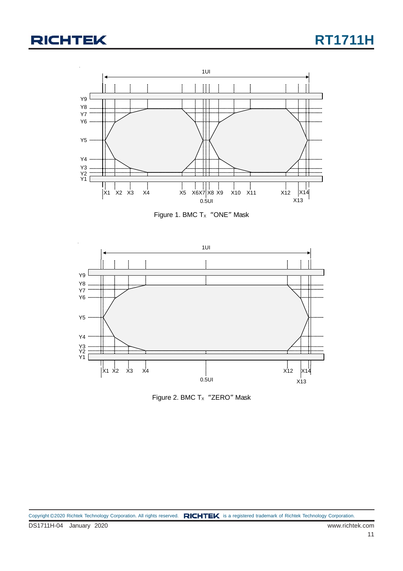

Figure 1. BMC  $Tx$  "ONE" Mask



Figure 2. BMC  $T_x$  "ZERO" Mask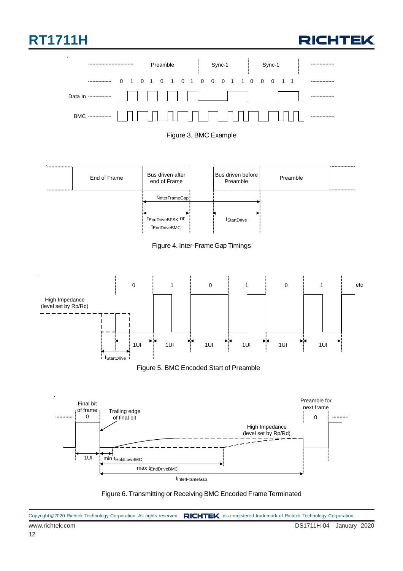











Figure 5. BMC Encoded Start of Preamble



Figure 6. Transmitting or Receiving BMC Encoded Frame Terminated

|                 | Copyright ©2020 Richtek Technology Corporation. All rights reserved. RICHTEK is a registered trademark of Richtek Technology Corporation. |
|-----------------|-------------------------------------------------------------------------------------------------------------------------------------------|
| www.richtek.com | DS1711H-04 January 2020                                                                                                                   |
| 12              |                                                                                                                                           |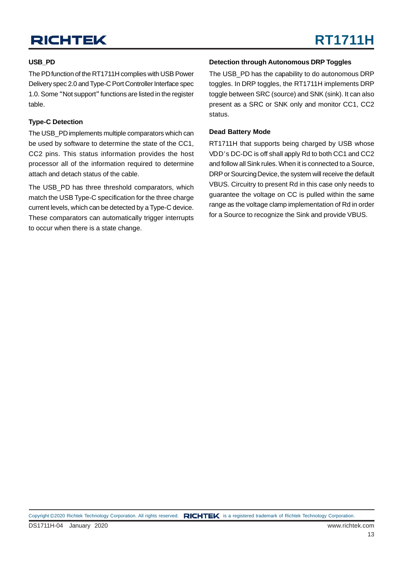#### **USB\_PD**

The PD function of the RT1711H complies with USB Power Delivery spec 2.0 and Type-C Port Controller Interface spec 1.0. Some "Not support" functions are listed in the register table.

#### **Type-C Detection**

The USB PD implements multiple comparators which can be used by software to determine the state of the CC1, CC2 pins. This status information provides the host processor all of the information required to determine attach and detach status of the cable.

The USB\_PD has three threshold comparators, which match the USB Type-C specification for the three charge current levels, which can be detected by a Type-C device. These comparators can automatically trigger interrupts to occur when there is a state change.

#### **Detection through Autonomous DRP Toggles**

The USB PD has the capability to do autonomous DRP toggles. In DRP toggles, the RT1711H implements DRP toggle between SRC (source) and SNK (sink). It can also present as a SRC or SNK only and monitor CC1, CC2 status.

#### **Dead Battery Mode**

RT1711H that supports being charged by USB whose VDD's DC-DC is off shall apply Rd to both CC1 and CC2 and follow all Sink rules. When it is connected to a Source, DRP or Sourcing Device, the system will receive the default VBUS. Circuitry to present Rd in this case only needs to guarantee the voltage on CC is pulled within the same range as the voltage clamp implementation of Rd in order for a Source to recognize the Sink and provide VBUS.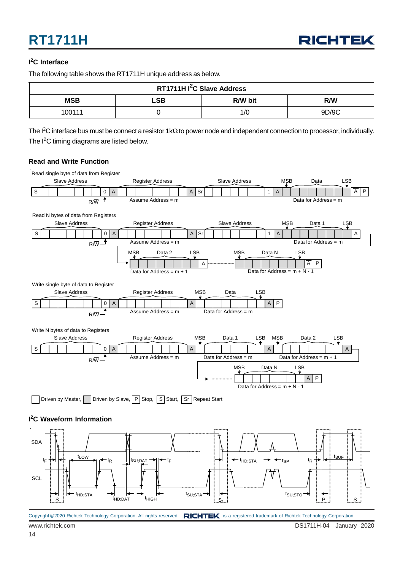#### **I 2 C Interface**

The following table shows the RT1711H unique address as below.

| RT1711H I <sup>2</sup> C Slave Address |  |     |       |  |  |  |  |  |
|----------------------------------------|--|-----|-------|--|--|--|--|--|
| <b>MSB</b><br>LSB<br>R/W bit<br>R/W    |  |     |       |  |  |  |  |  |
| 100111                                 |  | 1/C | 9D/9C |  |  |  |  |  |

The I<sup>2</sup>C interface bus must be connect a resistor 1kΩ to power node and independent connection to processor, individually. The  $I<sup>2</sup>C$  timing diagrams are listed below.

#### **Read and Write Function**

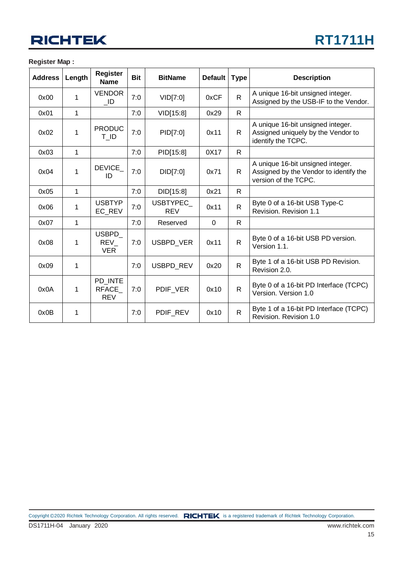#### **Register Map :**

| <b>Address</b> | Length | <b>Register</b><br><b>Name</b>        | <b>Bit</b> | <b>BitName</b>          | <b>Default</b> | <b>Type</b>  | <b>Description</b>                                                                                  |
|----------------|--------|---------------------------------------|------------|-------------------------|----------------|--------------|-----------------------------------------------------------------------------------------------------|
| 0x00           | 1      | <b>VENDOR</b><br>_ID                  | 7:0        | VID[7:0]                | 0xCF           | $\mathsf{R}$ | A unique 16-bit unsigned integer.<br>Assigned by the USB-IF to the Vendor.                          |
| 0x01           | 1      |                                       | 7:0        | VID[15:8]               | 0x29           | $\mathsf{R}$ |                                                                                                     |
| 0x02           | 1      | <b>PRODUC</b><br>T ID                 | 7:0        | PID[7:0]                | 0x11           | $\mathsf{R}$ | A unique 16-bit unsigned integer.<br>Assigned uniquely by the Vendor to<br>identify the TCPC.       |
| 0x03           | 1      |                                       | 7:0        | PID[15:8]               | 0X17           | R.           |                                                                                                     |
| 0x04           | 1      | <b>DEVICE</b><br>ID                   | 7:0        | DID[7:0]                | 0x71           | R.           | A unique 16-bit unsigned integer.<br>Assigned by the Vendor to identify the<br>version of the TCPC. |
| 0x05           | 1      |                                       | 7:0        | DID[15:8]               | 0x21           | R.           |                                                                                                     |
| 0x06           | 1      | <b>USBTYP</b><br>EC_REV               | 7:0        | USBTYPEC_<br><b>REV</b> | 0x11           | $\mathsf{R}$ | Byte 0 of a 16-bit USB Type-C<br>Revision. Revision 1.1                                             |
| 0x07           | 1      |                                       | 7:0        | Reserved                | 0              | R.           |                                                                                                     |
| 0x08           | 1      | <b>USBPD</b><br>REV<br><b>VER</b>     | 7:0        | <b>USBPD VER</b>        | 0x11           | $\mathsf{R}$ | Byte 0 of a 16-bit USB PD version.<br>Version 1.1.                                                  |
| 0x09           | 1      |                                       | 7:0        | <b>USBPD REV</b>        | 0x20           | $\mathsf{R}$ | Byte 1 of a 16-bit USB PD Revision.<br>Revision 2.0.                                                |
| 0x0A           | 1      | PD INTE<br><b>RFACE</b><br><b>REV</b> | 7:0        | PDIF_VER                | 0x10           | $\mathsf{R}$ | Byte 0 of a 16-bit PD Interface (TCPC)<br>Version, Version 1.0                                      |
| 0x0B           | 1      |                                       | 7:0        | PDIF_REV                | 0x10           | $\mathsf{R}$ | Byte 1 of a 16-bit PD Interface (TCPC)<br>Revision, Revision 1.0                                    |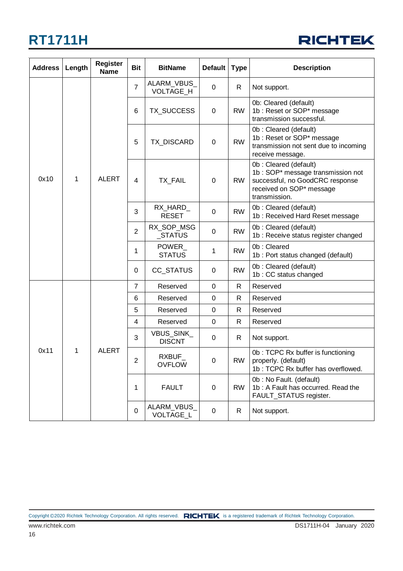

| <b>Address</b> | Length | <b>Register</b><br><b>Name</b> | <b>Bit</b>               | <b>BitName</b>                | <b>Default</b>                | <b>Type</b>  | <b>Description</b>                                                                                                                         |                                                                                                                  |
|----------------|--------|--------------------------------|--------------------------|-------------------------------|-------------------------------|--------------|--------------------------------------------------------------------------------------------------------------------------------------------|------------------------------------------------------------------------------------------------------------------|
|                |        |                                | $\overline{7}$           | ALARM_VBUS_<br>VOLTAGE_H      | 0                             | R.           | Not support.                                                                                                                               |                                                                                                                  |
|                |        |                                | 6                        | TX_SUCCESS                    | 0                             | <b>RW</b>    | 0b: Cleared (default)<br>1b: Reset or SOP* message<br>transmission successful.                                                             |                                                                                                                  |
|                |        | <b>ALERT</b>                   |                          | 5                             | TX_DISCARD                    | 0            | <b>RW</b>                                                                                                                                  | Ob: Cleared (default)<br>1b : Reset or SOP* message<br>transmission not sent due to incoming<br>receive message. |
| 0x10<br>1      |        |                                | 4                        | TX_FAIL                       | 0                             | <b>RW</b>    | 0b: Cleared (default)<br>1b: SOP* message transmission not<br>successful, no GoodCRC response<br>received on SOP* message<br>transmission. |                                                                                                                  |
|                |        |                                |                          | 3                             | RX_HARD_<br><b>RESET</b>      | 0            | <b>RW</b>                                                                                                                                  | 0b: Cleared (default)<br>1b: Received Hard Reset message                                                         |
|                |        |                                | $\overline{2}$           | RX_SOP_MSG<br>_STATUS         | 0                             | <b>RW</b>    | Ob: Cleared (default)<br>1b : Receive status register changed                                                                              |                                                                                                                  |
|                |        |                                |                          | 1                             | <b>POWER</b><br><b>STATUS</b> | 1            | <b>RW</b>                                                                                                                                  | 0b: Cleared<br>1b : Port status changed (default)                                                                |
|                |        |                                | 0                        | CC_STATUS                     | 0                             | <b>RW</b>    | Ob: Cleared (default)<br>1b: CC status changed                                                                                             |                                                                                                                  |
|                |        |                                | $\overline{7}$           | Reserved                      | 0                             | R            | Reserved                                                                                                                                   |                                                                                                                  |
|                |        |                                | 6                        | Reserved                      | 0                             | $\mathsf{R}$ | Reserved                                                                                                                                   |                                                                                                                  |
|                |        |                                | 5                        | Reserved                      | 0                             | R            | Reserved                                                                                                                                   |                                                                                                                  |
|                |        |                                | $\overline{4}$           | Reserved                      | 0                             | $\mathsf{R}$ | Reserved                                                                                                                                   |                                                                                                                  |
| 0x11<br>1      |        |                                | 3                        | VBUS_SINK_<br><b>DISCNT</b>   | 0                             | R            | Not support.                                                                                                                               |                                                                                                                  |
|                |        | <b>ALERT</b>                   | $\overline{2}$           | <b>RXBUF</b><br><b>OVFLOW</b> | 0                             | <b>RW</b>    | 0b: TCPC Rx buffer is functioning<br>properly. (default)<br>1b: TCPC Rx buffer has overflowed.                                             |                                                                                                                  |
|                |        |                                | 1                        | <b>FAULT</b>                  | 0                             | <b>RW</b>    | 0b: No Fault. (default)<br>1b: A Fault has occurred. Read the<br>FAULT_STATUS register.                                                    |                                                                                                                  |
|                |        | 0                              | ALARM_VBUS_<br>VOLTAGE_L | 0                             | R                             | Not support. |                                                                                                                                            |                                                                                                                  |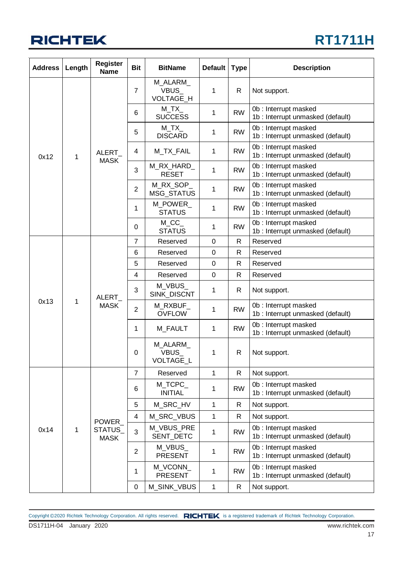### **RT1711H**

| <b>Address</b> | Length | <b>Register</b><br><b>Name</b>        | <b>Bit</b>     | <b>BitName</b>                 | <b>Default</b>            | <b>Type</b> | <b>Description</b>                                        |                                                           |          |  |                |                           |   |           |                                                           |  |  |  |  |  |  |  |   |                               |   |   |
|----------------|--------|---------------------------------------|----------------|--------------------------------|---------------------------|-------------|-----------------------------------------------------------|-----------------------------------------------------------|----------|--|----------------|---------------------------|---|-----------|-----------------------------------------------------------|--|--|--|--|--|--|--|---|-------------------------------|---|---|
|                |        |                                       | $\overline{7}$ | M_ALARM_<br>VBUS_<br>VOLTAGE_H | 1                         | R           | Not support.                                              |                                                           |          |  |                |                           |   |           |                                                           |  |  |  |  |  |  |  |   |                               |   |   |
|                |        |                                       | 6              | $M_T X$<br><b>SUCCESS</b>      | 1                         | <b>RW</b>   | 0b: Interrupt masked<br>1b : Interrupt unmasked (default) |                                                           |          |  |                |                           |   |           |                                                           |  |  |  |  |  |  |  |   |                               |   |   |
|                |        |                                       | 5              | $M_TX$<br><b>DISCARD</b>       | 1                         | <b>RW</b>   | 0b: Interrupt masked<br>1b : Interrupt unmasked (default) |                                                           |          |  |                |                           |   |           |                                                           |  |  |  |  |  |  |  |   |                               |   |   |
| 0x12           | 1      | ALERT                                 | 4              | M_TX_FAIL                      | 1                         | <b>RW</b>   | 0b: Interrupt masked<br>1b : Interrupt unmasked (default) |                                                           |          |  |                |                           |   |           |                                                           |  |  |  |  |  |  |  |   |                               |   |   |
|                |        | <b>MASK</b>                           | 3              | M_RX_HARD_<br><b>RESET</b>     | 1                         | <b>RW</b>   | 0b: Interrupt masked<br>1b : Interrupt unmasked (default) |                                                           |          |  |                |                           |   |           |                                                           |  |  |  |  |  |  |  |   |                               |   |   |
|                |        |                                       | $\overline{2}$ | M_RX_SOP_<br><b>MSG STATUS</b> | 1                         | <b>RW</b>   | 0b: Interrupt masked<br>1b : Interrupt unmasked (default) |                                                           |          |  |                |                           |   |           |                                                           |  |  |  |  |  |  |  |   |                               |   |   |
|                |        |                                       | 1              | M_POWER_<br><b>STATUS</b>      | 1                         | <b>RW</b>   | 0b: Interrupt masked<br>1b : Interrupt unmasked (default) |                                                           |          |  |                |                           |   |           |                                                           |  |  |  |  |  |  |  |   |                               |   |   |
|                |        |                                       | 0              | $M\_CC$<br><b>STATUS</b>       | 1                         | <b>RW</b>   | 0b: Interrupt masked<br>1b : Interrupt unmasked (default) |                                                           |          |  |                |                           |   |           |                                                           |  |  |  |  |  |  |  |   |                               |   |   |
|                |        | ALERT<br><b>MASK</b>                  |                |                                | $\overline{7}$            | Reserved    | 0                                                         | $\mathsf{R}$                                              | Reserved |  |                |                           |   |           |                                                           |  |  |  |  |  |  |  |   |                               |   |   |
|                |        |                                       | 6              | Reserved                       | $\pmb{0}$                 | R           | Reserved                                                  |                                                           |          |  |                |                           |   |           |                                                           |  |  |  |  |  |  |  |   |                               |   |   |
|                |        |                                       | 5              | Reserved                       | 0                         | R           | Reserved                                                  |                                                           |          |  |                |                           |   |           |                                                           |  |  |  |  |  |  |  |   |                               |   |   |
|                |        |                                       | 4              | Reserved                       | $\boldsymbol{0}$          | R           | Reserved                                                  |                                                           |          |  |                |                           |   |           |                                                           |  |  |  |  |  |  |  |   |                               |   |   |
|                |        |                                       |                | 3                              | M_VBUS_<br>SINK_DISCNT    | 1           | R                                                         | Not support.                                              |          |  |                |                           |   |           |                                                           |  |  |  |  |  |  |  |   |                               |   |   |
| 0x13           | 1      |                                       |                | $\overline{2}$                 | M_RXBUF_<br><b>OVFLOW</b> | 1           | <b>RW</b>                                                 | 0b: Interrupt masked<br>1b : Interrupt unmasked (default) |          |  |                |                           |   |           |                                                           |  |  |  |  |  |  |  |   |                               |   |   |
|                |        |                                       | 1              | M_FAULT                        | 1                         | <b>RW</b>   | 0b: Interrupt masked<br>1b : Interrupt unmasked (default) |                                                           |          |  |                |                           |   |           |                                                           |  |  |  |  |  |  |  |   |                               |   |   |
|                |        |                                       |                |                                |                           |             |                                                           |                                                           |          |  |                |                           |   |           |                                                           |  |  |  |  |  |  |  | 0 | M ALARM<br>VBUS_<br>VOLTAGE_L | 1 | R |
|                |        |                                       | $\overline{7}$ | Reserved                       | 1                         | R.          | Not support.                                              |                                                           |          |  |                |                           |   |           |                                                           |  |  |  |  |  |  |  |   |                               |   |   |
|                |        |                                       | 6              | M TCPC<br><b>INITIAL</b>       | 1                         | <b>RW</b>   | 0b: Interrupt masked<br>1b : Interrupt unmasked (default) |                                                           |          |  |                |                           |   |           |                                                           |  |  |  |  |  |  |  |   |                               |   |   |
|                |        |                                       | 5              | M_SRC_HV                       | 1                         | R           | Not support.                                              |                                                           |          |  |                |                           |   |           |                                                           |  |  |  |  |  |  |  |   |                               |   |   |
|                |        |                                       | 4              | M SRC VBUS                     | 1                         | R           | Not support.                                              |                                                           |          |  |                |                           |   |           |                                                           |  |  |  |  |  |  |  |   |                               |   |   |
| 0x14<br>1      |        | <b>POWER</b><br>STATUS<br><b>MASK</b> | 3              | M VBUS PRE<br>SENT_DETC        | 1                         | <b>RW</b>   | 0b: Interrupt masked<br>1b : Interrupt unmasked (default) |                                                           |          |  |                |                           |   |           |                                                           |  |  |  |  |  |  |  |   |                               |   |   |
|                |        |                                       |                |                                |                           |             |                                                           |                                                           |          |  | $\overline{2}$ | M_VBUS_<br><b>PRESENT</b> | 1 | <b>RW</b> | 0b: Interrupt masked<br>1b : Interrupt unmasked (default) |  |  |  |  |  |  |  |   |                               |   |   |
|                |        |                                       | 1              | M_VCONN_<br><b>PRESENT</b>     | 1                         | <b>RW</b>   | 0b: Interrupt masked<br>1b : Interrupt unmasked (default) |                                                           |          |  |                |                           |   |           |                                                           |  |  |  |  |  |  |  |   |                               |   |   |
|                |        |                                       | 0              | M_SINK_VBUS                    | 1                         | R           | Not support.                                              |                                                           |          |  |                |                           |   |           |                                                           |  |  |  |  |  |  |  |   |                               |   |   |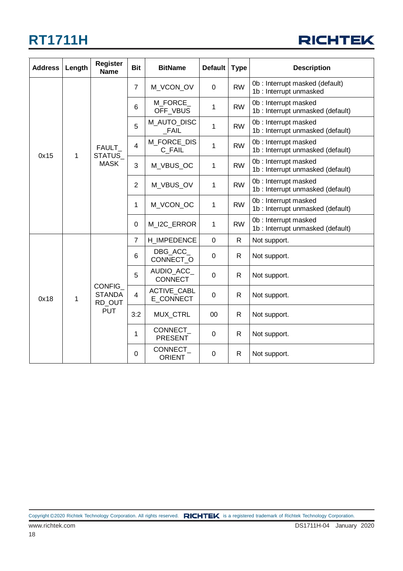| <b>RICHTEK</b> |  |
|----------------|--|
|----------------|--|

| <b>Address</b> | Length      | <b>Register</b><br><b>Name</b>           | <b>Bit</b>     | <b>BitName</b>                  | <b>Default</b> | <b>Type</b>  | <b>Description</b>                                        |
|----------------|-------------|------------------------------------------|----------------|---------------------------------|----------------|--------------|-----------------------------------------------------------|
|                |             |                                          | $\overline{7}$ | M_VCON_OV                       | 0              | <b>RW</b>    | 0b : Interrupt masked (default)<br>1b: Interrupt unmasked |
|                |             |                                          | 6              | M_FORCE_<br>OFF_VBUS            | 1              | <b>RW</b>    | 0b: Interrupt masked<br>1b : Interrupt unmasked (default) |
|                |             |                                          | 5              | M_AUTO_DISC<br><b>FAIL</b>      | 1              | <b>RW</b>    | 0b: Interrupt masked<br>1b: Interrupt unmasked (default)  |
| 0x15           | $\mathbf 1$ | <b>FAULT</b><br>STATUS_                  | 4              | M FORCE DIS<br>C FAIL           | 1              | <b>RW</b>    | 0b: Interrupt masked<br>1b : Interrupt unmasked (default) |
|                |             | <b>MASK</b>                              | 3              | M_VBUS_OC                       | 1              | <b>RW</b>    | 0b: Interrupt masked<br>1b : Interrupt unmasked (default) |
|                |             |                                          | $\overline{2}$ | M_VBUS_OV                       | 1              | <b>RW</b>    | 0b: Interrupt masked<br>1b: Interrupt unmasked (default)  |
|                |             |                                          | 1              | M_VCON_OC                       | 1              | <b>RW</b>    | 0b: Interrupt masked<br>1b: Interrupt unmasked (default)  |
|                |             |                                          | $\Omega$       | M_I2C_ERROR                     | $\mathbf{1}$   | <b>RW</b>    | 0b: Interrupt masked<br>1b : Interrupt unmasked (default) |
|                |             |                                          | $\overline{7}$ | H IMPEDENCE                     | $\mathbf 0$    | $\mathsf{R}$ | Not support.                                              |
|                |             |                                          | 6              | DBG ACC<br>CONNECT_O            | 0              | R.           | Not support.                                              |
|                |             |                                          | 5              | AUDIO_ACC_<br><b>CONNECT</b>    | 0              | R            | Not support.                                              |
| 0x18           | 1           | <b>CONFIG</b><br><b>STANDA</b><br>RD_OUT | 4              | <b>ACTIVE CABL</b><br>E CONNECT | 0              | R            | Not support.                                              |
|                |             | <b>PUT</b>                               | 3:2            | MUX_CTRL                        | 00             | $\mathsf{R}$ | Not support.                                              |
|                |             |                                          | 1              | CONNECT<br><b>PRESENT</b>       | 0              | R            | Not support.                                              |
|                |             |                                          | 0              | CONNECT<br><b>ORIENT</b>        | 0              | $\mathsf{R}$ | Not support.                                              |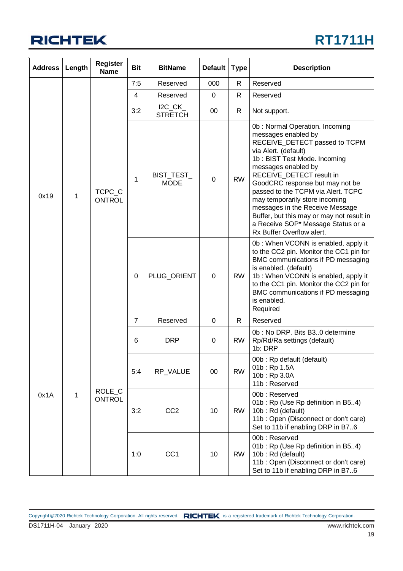### **RT1711H**

| <b>Address</b> | Length                  | <b>Register</b><br><b>Name</b> | <b>Bit</b>                | <b>BitName</b>            | Default   | <b>Type</b>                                                                                                                                                                                                                                                                                                                                                                                                                                                     | <b>Description</b>                                                                                                                                                                                                                                                                               |                                                                            |          |
|----------------|-------------------------|--------------------------------|---------------------------|---------------------------|-----------|-----------------------------------------------------------------------------------------------------------------------------------------------------------------------------------------------------------------------------------------------------------------------------------------------------------------------------------------------------------------------------------------------------------------------------------------------------------------|--------------------------------------------------------------------------------------------------------------------------------------------------------------------------------------------------------------------------------------------------------------------------------------------------|----------------------------------------------------------------------------|----------|
|                |                         |                                |                           |                           | 7:5       | Reserved                                                                                                                                                                                                                                                                                                                                                                                                                                                        | 000                                                                                                                                                                                                                                                                                              | $\mathsf{R}$                                                               | Reserved |
|                |                         |                                | $\overline{4}$            | Reserved                  | 0         | $\mathsf{R}$                                                                                                                                                                                                                                                                                                                                                                                                                                                    | Reserved                                                                                                                                                                                                                                                                                         |                                                                            |          |
|                |                         |                                | 3:2                       | $IC_CK$<br><b>STRETCH</b> | 00        | R.                                                                                                                                                                                                                                                                                                                                                                                                                                                              | Not support.                                                                                                                                                                                                                                                                                     |                                                                            |          |
| 0x19<br>1      | TCPC_C<br><b>ONTROL</b> | 1                              | BIST_TEST_<br><b>MODE</b> | 0                         | <b>RW</b> | 0b: Normal Operation. Incoming<br>messages enabled by<br>RECEIVE_DETECT passed to TCPM<br>via Alert. (default)<br>1b: BIST Test Mode. Incoming<br>messages enabled by<br>RECEIVE_DETECT result in<br>GoodCRC response but may not be<br>passed to the TCPM via Alert. TCPC<br>may temporarily store incoming<br>messages in the Receive Message<br>Buffer, but this may or may not result in<br>a Receive SOP* Message Status or a<br>Rx Buffer Overflow alert. |                                                                                                                                                                                                                                                                                                  |                                                                            |          |
|                |                         |                                | 0                         | PLUG_ORIENT               | 0         | <b>RW</b>                                                                                                                                                                                                                                                                                                                                                                                                                                                       | 0b: When VCONN is enabled, apply it<br>to the CC2 pin. Monitor the CC1 pin for<br>BMC communications if PD messaging<br>is enabled. (default)<br>1b: When VCONN is enabled, apply it<br>to the CC1 pin. Monitor the CC2 pin for<br>BMC communications if PD messaging<br>is enabled.<br>Required |                                                                            |          |
|                |                         |                                | 7                         | Reserved                  | 0         | $\mathsf{R}$                                                                                                                                                                                                                                                                                                                                                                                                                                                    | Reserved                                                                                                                                                                                                                                                                                         |                                                                            |          |
|                |                         |                                | 6                         | <b>DRP</b>                | 0         | <b>RW</b>                                                                                                                                                                                                                                                                                                                                                                                                                                                       | 0b: No DRP. Bits B30 determine<br>Rp/Rd/Ra settings (default)<br>1b: DRP                                                                                                                                                                                                                         |                                                                            |          |
| 0x1A<br>1      |                         | ROLE_C<br><b>ONTROL</b>        |                           | 5:4                       | RP_VALUE  | 00                                                                                                                                                                                                                                                                                                                                                                                                                                                              | <b>RW</b>                                                                                                                                                                                                                                                                                        | 00b: Rp default (default)<br>01b: Rp 1.5A<br>10b: Rp 3.0A<br>11b: Reserved |          |
|                |                         |                                | 3:2                       | CC <sub>2</sub>           | 10        | <b>RW</b>                                                                                                                                                                                                                                                                                                                                                                                                                                                       | 00b: Reserved<br>01b: Rp (Use Rp definition in B54)<br>10b: Rd (default)<br>11b: Open (Disconnect or don't care)<br>Set to 11b if enabling DRP in B76                                                                                                                                            |                                                                            |          |
|                |                         |                                | 1:0                       | CC <sub>1</sub>           | 10        | <b>RW</b>                                                                                                                                                                                                                                                                                                                                                                                                                                                       | 00b: Reserved<br>01b: Rp (Use Rp definition in B54)<br>10b: Rd (default)<br>11b: Open (Disconnect or don't care)<br>Set to 11b if enabling DRP in B76                                                                                                                                            |                                                                            |          |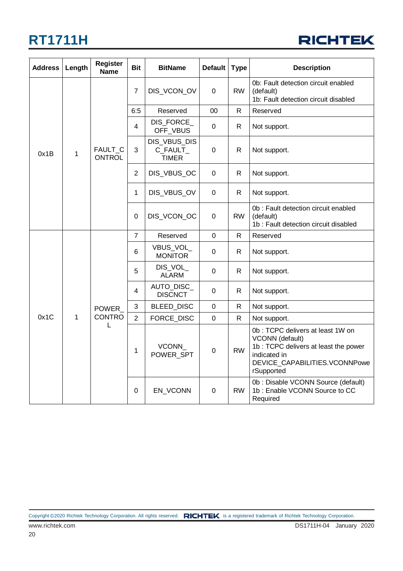

| <b>Address</b> | Length       | <b>Register</b><br><b>Name</b>  | <b>Bit</b>     | <b>BitName</b>                           | <b>Default</b>   | <b>Type</b>  | <b>Description</b>                                                                                                                                          |           |                                                                                           |              |
|----------------|--------------|---------------------------------|----------------|------------------------------------------|------------------|--------------|-------------------------------------------------------------------------------------------------------------------------------------------------------------|-----------|-------------------------------------------------------------------------------------------|--------------|
|                |              |                                 | 7              | DIS_VCON_OV                              | $\Omega$         | <b>RW</b>    | 0b: Fault detection circuit enabled<br>(default)<br>1b: Fault detection circuit disabled                                                                    |           |                                                                                           |              |
|                |              |                                 | 6:5            | Reserved                                 | 00               | $\mathsf{R}$ | Reserved                                                                                                                                                    |           |                                                                                           |              |
|                |              |                                 | 4              | DIS_FORCE_<br>OFF_VBUS                   | 0                | R.           | Not support.                                                                                                                                                |           |                                                                                           |              |
| 0x1B           | $\mathbf{1}$ | <b>FAULT C</b><br><b>ONTROL</b> | 3              | DIS_VBUS_DIS<br>C_FAULT_<br><b>TIMER</b> | 0                | R            | Not support.                                                                                                                                                |           |                                                                                           |              |
|                |              |                                 | $\overline{2}$ | DIS_VBUS_OC                              | $\boldsymbol{0}$ | $\mathsf{R}$ | Not support.                                                                                                                                                |           |                                                                                           |              |
|                |              |                                 | 1              | DIS_VBUS_OV                              | 0                | R            | Not support.                                                                                                                                                |           |                                                                                           |              |
|                |              |                                 |                |                                          | 0                | DIS_VCON_OC  | $\mathbf 0$                                                                                                                                                 | <b>RW</b> | 0b : Fault detection circuit enabled<br>(default)<br>1b: Fault detection circuit disabled |              |
|                |              |                                 | $\overline{7}$ | Reserved                                 | $\mathsf 0$      | $\mathsf{R}$ | Reserved                                                                                                                                                    |           |                                                                                           |              |
|                |              |                                 |                |                                          |                  | 6            | <b>VBUS VOL</b><br><b>MONITOR</b>                                                                                                                           | 0         | $\mathsf{R}$                                                                              | Not support. |
|                |              |                                 | 5              | DIS_VOL<br><b>ALARM</b>                  | 0                | $\mathsf{R}$ | Not support.                                                                                                                                                |           |                                                                                           |              |
|                |              |                                 | 4              | AUTO_DISC_<br><b>DISCNCT</b>             | 0                | $\mathsf{R}$ | Not support.                                                                                                                                                |           |                                                                                           |              |
|                |              | <b>POWER</b>                    | 3              | BLEED_DISC                               | $\mathbf 0$      | $\mathsf{R}$ | Not support.                                                                                                                                                |           |                                                                                           |              |
| 0x1C           | 1            | <b>CONTRO</b>                   | $\overline{2}$ | FORCE_DISC                               | $\mathbf 0$      | $\mathsf{R}$ | Not support.                                                                                                                                                |           |                                                                                           |              |
|                |              | L                               | 1              | VCONN<br>POWER_SPT                       | $\boldsymbol{0}$ | <b>RW</b>    | 0b: TCPC delivers at least 1W on<br>VCONN (default)<br>1b : TCPC delivers at least the power<br>indicated in<br>DEVICE CAPABILITIES.VCONNPowe<br>rSupported |           |                                                                                           |              |
|                |              |                                 | 0              | EN_VCONN                                 | 0                | <b>RW</b>    | 0b : Disable VCONN Source (default)<br>1b: Enable VCONN Source to CC<br>Required                                                                            |           |                                                                                           |              |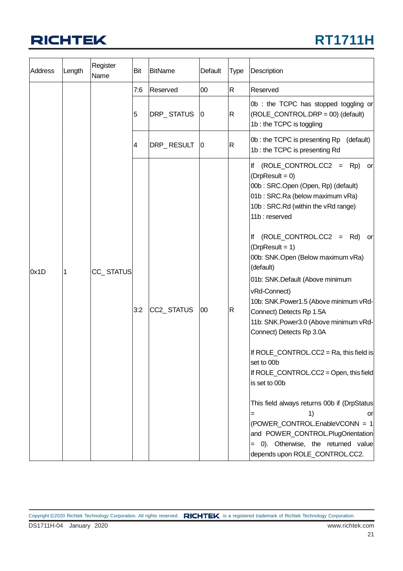

| <b>Address</b> | Length | Register<br>Name | Bit | <b>BitName</b>    | Default        | Type         | Description                                                                                                                                                                                                                                                                                                                                                                                                                                                                                                                                                                                                                                                                                                                                                                                                                                 |
|----------------|--------|------------------|-----|-------------------|----------------|--------------|---------------------------------------------------------------------------------------------------------------------------------------------------------------------------------------------------------------------------------------------------------------------------------------------------------------------------------------------------------------------------------------------------------------------------------------------------------------------------------------------------------------------------------------------------------------------------------------------------------------------------------------------------------------------------------------------------------------------------------------------------------------------------------------------------------------------------------------------|
|                |        |                  | 7:6 | Reserved          | $00\,$         | $\mathsf{R}$ | Reserved                                                                                                                                                                                                                                                                                                                                                                                                                                                                                                                                                                                                                                                                                                                                                                                                                                    |
|                |        |                  | 5   | <b>DRP_STATUS</b> | $\overline{0}$ | $\mathsf R$  | 0b : the TCPC has stopped toggling or<br>(ROLE_CONTROL.DRP = 00) (default)<br>1b : the TCPC is toggling                                                                                                                                                                                                                                                                                                                                                                                                                                                                                                                                                                                                                                                                                                                                     |
|                |        |                  | 4   | DRP_RESULT        | $\overline{0}$ | R            | 0b: the TCPC is presenting Rp<br>(default)<br>1b: the TCPC is presenting Rd                                                                                                                                                                                                                                                                                                                                                                                                                                                                                                                                                                                                                                                                                                                                                                 |
| Ox1D           |        | CC_STATUS        | 3:2 | CC2_STATUS        | $00\,$         | $\mathsf R$  | If $(ROLE\_CONTROL.CC2 = Rp)$<br>or<br>$(DrpResult = 0)$<br>00b: SRC.Open (Open, Rp) (default)<br>01b: SRC.Ra (below maximum vRa)<br>10b: SRC.Rd (within the vRd range)<br>11b: reserved<br>$(ROLE$ CONTROL.CC2 = Rd)<br>lf<br>orl<br>$(DrpResult = 1)$<br>00b: SNK.Open (Below maximum vRa)<br>(default)<br>01b: SNK.Default (Above minimum<br>vRd-Connect)<br>10b: SNK.Power1.5 (Above minimum vRd-<br>Connect) Detects Rp 1.5A<br>11b: SNK. Power3.0 (Above minimum vRd-<br>Connect) Detects Rp 3.0A<br>If ROLE_CONTROL.CC2 = Ra, this field is<br>set to 00b<br>If ROLE_CONTROL.CC2 = Open, this field<br>is set to 00b<br>This field always returns 00b if (DrpStatus<br>1)<br>or<br>=<br>(POWER CONTROL.EnableVCONN = 1<br>and POWER_CONTROL.PlugOrientation<br>= 0). Otherwise, the returned value<br>depends upon ROLE_CONTROL.CC2. |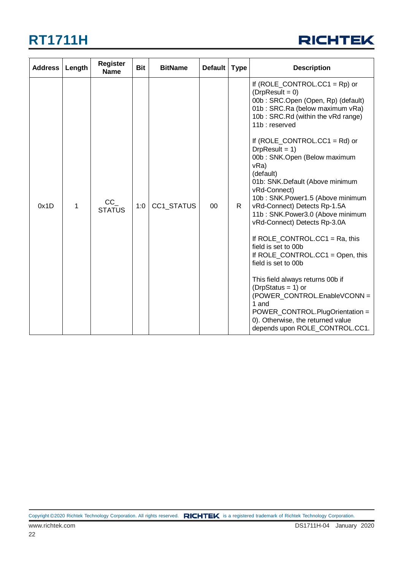

| <b>Address</b> | Length | <b>Register</b><br><b>Name</b> | <b>Bit</b> | <b>BitName</b> | <b>Default</b> | <b>Type</b> | <b>Description</b>                                                                                                                                                                                                                                                                                                                                                                                                                                                                                                                                                                                                                                                                                                                                                                                                                  |
|----------------|--------|--------------------------------|------------|----------------|----------------|-------------|-------------------------------------------------------------------------------------------------------------------------------------------------------------------------------------------------------------------------------------------------------------------------------------------------------------------------------------------------------------------------------------------------------------------------------------------------------------------------------------------------------------------------------------------------------------------------------------------------------------------------------------------------------------------------------------------------------------------------------------------------------------------------------------------------------------------------------------|
| 0x1D           | 1      | $CC_$<br><b>STATUS</b>         | 1:0        | CC1_STATUS     | 00             | R.          | If $(ROLE\_CONTROL.CC1 = Rp)$ or<br>$(DrpResult = 0)$<br>00b: SRC.Open (Open, Rp) (default)<br>01b: SRC.Ra (below maximum vRa)<br>10b: SRC.Rd (within the vRd range)<br>11b: reserved<br>If $(ROLE_CONTROL.CC1 = Rd)$ or<br>$DrpResult = 1)$<br>00b: SNK.Open (Below maximum<br>vRa)<br>(default)<br>01b: SNK.Default (Above minimum<br>vRd-Connect)<br>10b: SNK.Power1.5 (Above minimum<br>vRd-Connect) Detects Rp-1.5A<br>11b: SNK.Power3.0 (Above minimum<br>vRd-Connect) Detects Rp-3.0A<br>If $ROLE\_CONTROL.CC1 = Ra$ , this<br>field is set to 00b<br>If ROLE_CONTROL.CC1 = Open, this<br>field is set to 00b<br>This field always returns 00b if<br>$(DrpStatus = 1)$ or<br>(POWER_CONTROL.EnableVCONN =<br>1 and<br>POWER_CONTROL.PlugOrientation =<br>0). Otherwise, the returned value<br>depends upon ROLE_CONTROL.CC1. |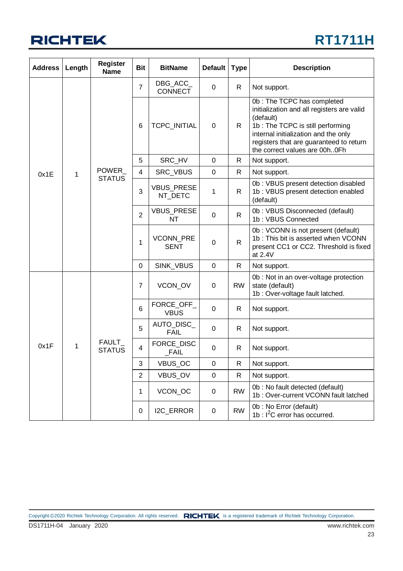

| <b>Address</b> | Length | <b>Register</b><br><b>Name</b> | <b>Bit</b>     | <b>BitName</b>                 | <b>Default</b> | <b>Type</b>  | <b>Description</b>                                                                                                                                                                                                                            |
|----------------|--------|--------------------------------|----------------|--------------------------------|----------------|--------------|-----------------------------------------------------------------------------------------------------------------------------------------------------------------------------------------------------------------------------------------------|
|                |        |                                | $\overline{7}$ | $DBG$ _ACC_<br><b>CONNECT</b>  | 0              | R            | Not support.                                                                                                                                                                                                                                  |
|                |        |                                | $\,6$          | TCPC_INITIAL                   | 0              | R.           | 0b: The TCPC has completed<br>initialization and all registers are valid<br>(default)<br>1b: The TCPC is still performing<br>internal initialization and the only<br>registers that are guaranteed to return<br>the correct values are 00h0Fh |
|                |        |                                | 5              | SRC_HV                         | $\mathbf 0$    | R            | Not support.                                                                                                                                                                                                                                  |
| 0x1E           | 1      | POWER_<br><b>STATUS</b>        | 4              | SRC_VBUS                       | $\mathbf 0$    | $\mathsf{R}$ | Not support.                                                                                                                                                                                                                                  |
|                |        |                                | 3              | <b>VBUS_PRESE</b><br>NT_DETC   | 1              | $\mathsf{R}$ | 0b: VBUS present detection disabled<br>1b: VBUS present detection enabled<br>(default)                                                                                                                                                        |
|                |        |                                | $\overline{2}$ | <b>VBUS_PRESE</b><br><b>NT</b> | $\mathbf 0$    | $\mathsf{R}$ | 0b: VBUS Disconnected (default)<br>1b: VBUS Connected                                                                                                                                                                                         |
|                |        |                                | $\mathbf 1$    | VCONN_PRE<br><b>SENT</b>       | $\mathbf 0$    | $\mathsf{R}$ | 0b: VCONN is not present (default)<br>1b: This bit is asserted when VCONN<br>present CC1 or CC2. Threshold is fixed<br>at 2.4V                                                                                                                |
|                |        |                                | $\pmb{0}$      | SINK_VBUS                      | $\mathbf 0$    | $\mathsf{R}$ | Not support.                                                                                                                                                                                                                                  |
|                |        |                                | $\overline{7}$ | VCON_OV                        | 0              | <b>RW</b>    | 0b : Not in an over-voltage protection<br>state (default)<br>1b : Over-voltage fault latched.                                                                                                                                                 |
|                |        |                                | 6              | FORCE_OFF_<br><b>VBUS</b>      | 0              | R.           | Not support.                                                                                                                                                                                                                                  |
|                |        |                                | 5              | AUTO_DISC_<br><b>FAIL</b>      | $\mathbf 0$    | R            | Not support.                                                                                                                                                                                                                                  |
| 0x1F           | 1      | FAULT_<br><b>STATUS</b>        | 4              | FORCE_DISC<br>$_F$ AIL         | 0              | R            | Not support.                                                                                                                                                                                                                                  |
|                |        |                                | 3              | VBUS_OC                        | $\pmb{0}$      | R            | Not support.                                                                                                                                                                                                                                  |
|                |        |                                | $\overline{2}$ | VBUS_OV                        | $\mathbf 0$    | R            | Not support.                                                                                                                                                                                                                                  |
|                |        |                                | 1              | VCON_OC                        | $\mathbf 0$    | <b>RW</b>    | 0b: No fault detected (default)<br>1b: Over-current VCONN fault latched                                                                                                                                                                       |
|                |        |                                | $\pmb{0}$      | I2C_ERROR                      | 0              | <b>RW</b>    | 0b: No Error (default)<br>1b : $I^2C$ error has occurred.                                                                                                                                                                                     |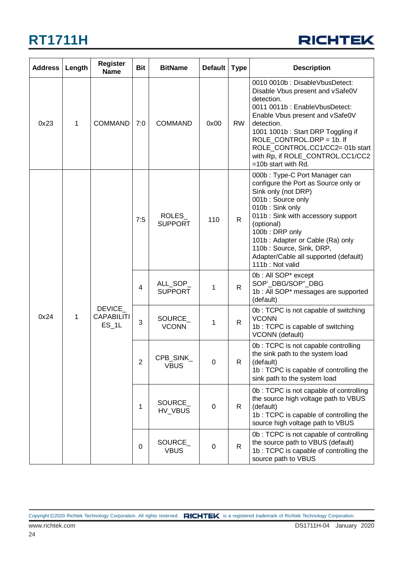

| <b>Address</b> | Length | <b>Register</b><br><b>Name</b>          | <b>Bit</b>  | <b>BitName</b>             | <b>Default</b> | <b>Type</b>  | <b>Description</b>                                                                                                                                                                                                                                                                                                                    |
|----------------|--------|-----------------------------------------|-------------|----------------------------|----------------|--------------|---------------------------------------------------------------------------------------------------------------------------------------------------------------------------------------------------------------------------------------------------------------------------------------------------------------------------------------|
| 0x23           | 1      | <b>COMMAND</b>                          | 7:0         | <b>COMMAND</b>             | 0x00           | <b>RW</b>    | 0010 0010b: DisableVbusDetect:<br>Disable Vbus present and vSafe0V<br>detection.<br>0011 0011b: EnableVbusDetect:<br>Enable Vbus present and vSafe0V<br>detection.<br>1001 1001b: Start DRP Toggling if<br>ROLE CONTROL.DRP = 1b. If<br>ROLE_CONTROL.CC1/CC2= 01b start<br>with Rp, if ROLE_CONTROL.CC1/CC2<br>$=10b$ start with Rd.  |
|                |        |                                         | 7:5         | ROLES_<br><b>SUPPORT</b>   | 110            | $\mathsf{R}$ | 000b: Type-C Port Manager can<br>configure the Port as Source only or<br>Sink only (not DRP)<br>001b: Source only<br>010b: Sink only<br>011b: Sink with accessory support<br>(optional)<br>100b: DRP only<br>101b: Adapter or Cable (Ra) only<br>110b: Source, Sink, DRP,<br>Adapter/Cable all supported (default)<br>111b: Not valid |
|                |        | DEVICE_<br><b>CAPABILITI</b><br>$ES_1L$ | 4           | ALL_SOP_<br><b>SUPPORT</b> | 1              | $\mathsf{R}$ | 0b: All SOP* except<br>SOP'_DBG/SOP"_DBG<br>1b : All SOP* messages are supported<br>(default)                                                                                                                                                                                                                                         |
| 0x24           | 1      |                                         | 3           | SOURCE_<br><b>VCONN</b>    | 1              | $\mathsf{R}$ | 0b: TCPC is not capable of switching<br><b>VCONN</b><br>1b: TCPC is capable of switching<br>VCONN (default)                                                                                                                                                                                                                           |
|                |        |                                         | 2           | CPB SINK<br><b>VBUS</b>    | 0              | R            | 0b: TCPC is not capable controlling<br>the sink path to the system load<br>(default)<br>1b: TCPC is capable of controlling the<br>sink path to the system load                                                                                                                                                                        |
|                |        |                                         | 1           | SOURCE_<br>HV_VBUS         | 0              | R.           | 0b: TCPC is not capable of controlling<br>the source high voltage path to VBUS<br>(default)<br>1b: TCPC is capable of controlling the<br>source high voltage path to VBUS                                                                                                                                                             |
|                |        |                                         | $\mathbf 0$ | SOURCE_<br><b>VBUS</b>     | 0              | $\mathsf{R}$ | 0b: TCPC is not capable of controlling<br>the source path to VBUS (default)<br>1b: TCPC is capable of controlling the<br>source path to VBUS                                                                                                                                                                                          |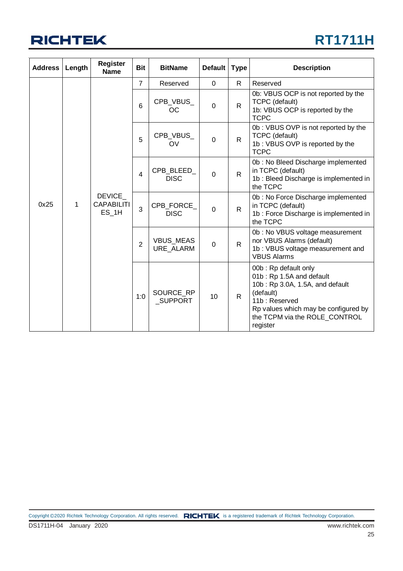

| <b>Address</b> | Length | <b>Register</b><br><b>Name</b>                | <b>Bit</b>     | <b>BitName</b>                       | <b>Default</b>              | <b>Type</b>            | <b>Description</b>                                                                                                     |                                                                                                                                                                                                        |                                                                                                         |
|----------------|--------|-----------------------------------------------|----------------|--------------------------------------|-----------------------------|------------------------|------------------------------------------------------------------------------------------------------------------------|--------------------------------------------------------------------------------------------------------------------------------------------------------------------------------------------------------|---------------------------------------------------------------------------------------------------------|
|                |        |                                               | $\overline{7}$ | Reserved                             | $\mathbf 0$                 | $\mathsf{R}$           | Reserved                                                                                                               |                                                                                                                                                                                                        |                                                                                                         |
|                |        |                                               | $6\phantom{1}$ | CPB_VBUS_<br>OС                      | $\mathbf{0}$                | $\mathsf{R}$           | 0b: VBUS OCP is not reported by the<br>TCPC (default)<br>1b: VBUS OCP is reported by the<br><b>TCPC</b>                |                                                                                                                                                                                                        |                                                                                                         |
|                |        |                                               |                |                                      | 5                           | CPB_VBUS_<br><b>OV</b> | $\mathbf 0$                                                                                                            | $\mathsf{R}$                                                                                                                                                                                           | 0b: VBUS OVP is not reported by the<br>TCPC (default)<br>1b: VBUS OVP is reported by the<br><b>TCPC</b> |
|                |        |                                               | $\overline{4}$ | CPB_BLEED_<br><b>DISC</b>            | $\Omega$                    | $\mathsf{R}$           | 0b: No Bleed Discharge implemented<br>in TCPC (default)<br>1b: Bleed Discharge is implemented in<br>the TCPC           |                                                                                                                                                                                                        |                                                                                                         |
| 0x25           | 1      | <b>DEVICE</b><br><b>CAPABILITI</b><br>$ES_1H$ | 3              | CPB_FORCE<br><b>DISC</b>             | $\Omega$                    | $\mathsf{R}$           | 0b: No Force Discharge implemented<br>in TCPC (default)<br>1b: Force Discharge is implemented in<br>the TCPC           |                                                                                                                                                                                                        |                                                                                                         |
|                |        |                                               | $\overline{2}$ | <b>VBUS_MEAS</b><br><b>URE ALARM</b> | $\mathbf 0$                 | $\mathsf{R}$           | 0b: No VBUS voltage measurement<br>nor VBUS Alarms (default)<br>1b: VBUS voltage measurement and<br><b>VBUS Alarms</b> |                                                                                                                                                                                                        |                                                                                                         |
|                |        |                                               |                | 1:0                                  | SOURCE_RP<br><b>SUPPORT</b> | 10                     | $\mathsf{R}$                                                                                                           | 00b: Rp default only<br>01b: Rp 1.5A and default<br>10b: Rp 3.0A, 1.5A, and default<br>(default)<br>11b: Reserved<br>Rp values which may be configured by<br>the TCPM via the ROLE_CONTROL<br>register |                                                                                                         |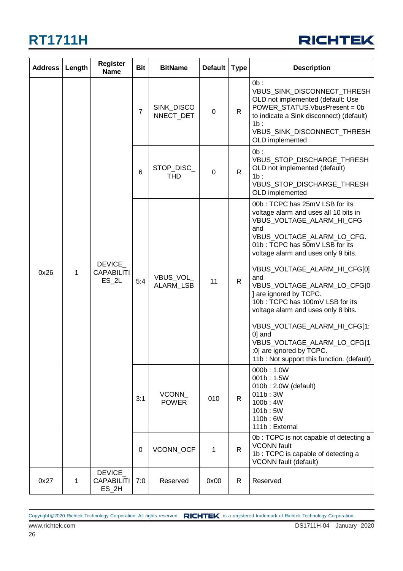

| <b>Address</b> | Length | <b>Register</b><br><b>Name</b>          | <b>Bit</b>     | <b>BitName</b>                 | <b>Default</b>  | <b>Type</b>       | <b>Description</b>                                                                                                                                                                                                                                                                                                                                                                                                                                                                                                                             |              |
|----------------|--------|-----------------------------------------|----------------|--------------------------------|-----------------|-------------------|------------------------------------------------------------------------------------------------------------------------------------------------------------------------------------------------------------------------------------------------------------------------------------------------------------------------------------------------------------------------------------------------------------------------------------------------------------------------------------------------------------------------------------------------|--------------|
|                |        |                                         | $\overline{7}$ | <b>SINK DISCO</b><br>NNECT_DET | 0               | $\mathsf{R}$      | $0b$ :<br>VBUS_SINK_DISCONNECT_THRESH<br>OLD not implemented (default: Use<br>POWER_STATUS.VbusPresent = 0b<br>to indicate a Sink disconnect) (default)<br>1b:<br>VBUS_SINK_DISCONNECT_THRESH<br>OLD implemented                                                                                                                                                                                                                                                                                                                               |              |
|                |        |                                         |                |                                | $6\phantom{1}6$ | STOP_DISC_<br>THD | $\Omega$                                                                                                                                                                                                                                                                                                                                                                                                                                                                                                                                       | $\mathsf{R}$ |
| 0x26           | 1      | DEVICE_<br><b>CAPABILITI</b><br>$ES_2L$ | 5:4            | VBUS_VOL<br>ALARM_LSB          | 11              | $\mathsf{R}$      | 00b: TCPC has 25mV LSB for its<br>voltage alarm and uses all 10 bits in<br>VBUS VOLTAGE ALARM HI CFG<br>and<br>VBUS_VOLTAGE_ALARM_LO_CFG.<br>01b: TCPC has 50mV LSB for its<br>voltage alarm and uses only 9 bits.<br>VBUS_VOLTAGE_ALARM_HI_CFG[0]<br>and<br>VBUS_VOLTAGE_ALARM_LO_CFG[0<br>] are ignored by TCPC.<br>10b: TCPC has 100mV LSB for its<br>voltage alarm and uses only 8 bits.<br>VBUS_VOLTAGE_ALARM_HI_CFG[1:<br>0] and<br>VBUS_VOLTAGE_ALARM_LO_CFG[1<br>:0] are ignored by TCPC.<br>11b: Not support this function. (default) |              |
|                |        |                                         | 3:1            | VCONN<br><b>POWER</b>          | 010             | R.                | 000b: 1.0W<br>001b: 1.5W<br>010b: 2.0W (default)<br>011b:3W<br>100b: 4W<br>101b: 5W<br>110b: 6W<br>111b: External                                                                                                                                                                                                                                                                                                                                                                                                                              |              |
|                |        |                                         | $\mathbf 0$    | VCONN_OCF                      | 1               | R.                | 0b: TCPC is not capable of detecting a<br><b>VCONN</b> fault<br>1b: TCPC is capable of detecting a<br><b>VCONN</b> fault (default)                                                                                                                                                                                                                                                                                                                                                                                                             |              |
| 0x27           | 1      | DEVICE_<br><b>CAPABILITI</b><br>$ES_2H$ | 7:0            | Reserved                       | 0x00            | R                 | Reserved                                                                                                                                                                                                                                                                                                                                                                                                                                                                                                                                       |              |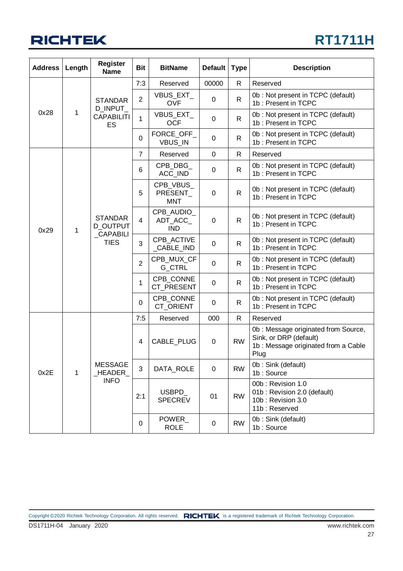### **RT1711H**

| <b>Address</b> | Length | <b>Register</b><br><b>Name</b>                | <b>Bit</b>     | <b>BitName</b>                      | <b>Default</b> | <b>Type</b>  | <b>Description</b>                                                                                            |
|----------------|--------|-----------------------------------------------|----------------|-------------------------------------|----------------|--------------|---------------------------------------------------------------------------------------------------------------|
|                |        |                                               | 7:3            | Reserved                            | 00000          | $\mathsf{R}$ | Reserved                                                                                                      |
|                |        | <b>STANDAR</b>                                | $\overline{2}$ | VBUS_EXT_<br><b>OVF</b>             | $\mathbf 0$    | $\mathsf{R}$ | 0b: Not present in TCPC (default)<br>1b: Present in TCPC                                                      |
| 0x28           | 1      | D_INPUT_<br><b>CAPABILITI</b><br>ES           | $\mathbf{1}$   | VBUS_EXT_<br><b>OCF</b>             | 0              | $\mathsf{R}$ | 0b: Not present in TCPC (default)<br>1b: Present in TCPC                                                      |
|                |        |                                               | $\overline{0}$ | FORCE_OFF_<br>VBUS_IN               | 0              | $\mathsf{R}$ | 0b: Not present in TCPC (default)<br>1b: Present in TCPC                                                      |
|                |        |                                               | $\overline{7}$ | Reserved                            | 0              | $\mathsf{R}$ | Reserved                                                                                                      |
|                |        |                                               | 6              | CPB_DBG_<br>ACC_IND                 | 0              | $\mathsf{R}$ | 0b: Not present in TCPC (default)<br>1b: Present in TCPC                                                      |
|                |        |                                               | 5              | CPB_VBUS_<br>PRESENT<br><b>MNT</b>  | 0              | $\mathsf{R}$ | 0b: Not present in TCPC (default)<br>1b: Present in TCPC                                                      |
| 0x29           | 1      | <b>STANDAR</b><br>D_OUTPUT<br><b>CAPABILI</b> | $\overline{4}$ | CPB_AUDIO_<br>ADT ACC<br><b>IND</b> | 0              | $\mathsf{R}$ | 0b: Not present in TCPC (default)<br>1b: Present in TCPC                                                      |
|                |        | <b>TIES</b>                                   | 3              | CPB_ACTIVE<br>_CABLE_IND            | 0              | $\mathsf{R}$ | 0b: Not present in TCPC (default)<br>1b: Present in TCPC                                                      |
|                |        |                                               | $\overline{2}$ | CPB_MUX_CF<br>G_CTRL                | 0              | R            | 0b: Not present in TCPC (default)<br>1b: Present in TCPC                                                      |
|                |        |                                               | 1              | CPB_CONNE<br>CT PRESENT             | 0              | $\mathsf{R}$ | 0b: Not present in TCPC (default)<br>1b: Present in TCPC                                                      |
|                |        |                                               | 0              | CPB_CONNE<br>CT_ORIENT              | 0              | $\mathsf{R}$ | 0b: Not present in TCPC (default)<br>1b: Present in TCPC                                                      |
|                |        |                                               | 7:5            | Reserved                            | 000            | $\mathsf{R}$ | Reserved                                                                                                      |
| 0x2E<br>1      |        |                                               | 4              | CABLE_PLUG                          | 0              | <b>RW</b>    | 0b: Message originated from Source,<br>Sink, or DRP (default)<br>1b : Message originated from a Cable<br>Plug |
|                |        | <b>MESSAGE</b><br>_HEADER                     | 3              | DATA_ROLE                           | 0              | <b>RW</b>    | 0b: Sink (default)<br>1b: Source                                                                              |
|                |        | <b>INFO</b>                                   | 2:1            | USBPD_<br><b>SPECREV</b>            | 01             | <b>RW</b>    | 00b: Revision 1.0<br>01b: Revision 2.0 (default)<br>10b: Revision 3.0<br>11b: Reserved                        |
|                |        |                                               | 0              | POWER<br><b>ROLE</b>                | 0              | <b>RW</b>    | 0b: Sink (default)<br>1b: Source                                                                              |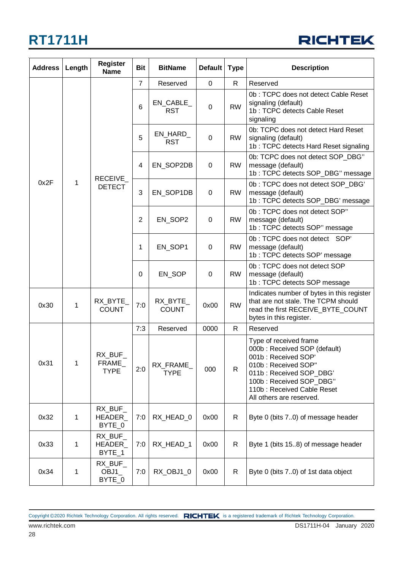### **RICHTEK**

| <b>Address</b> | Length | <b>Register</b><br><b>Name</b>  | <b>Bit</b>      | <b>BitName</b>           | <b>Default</b> | <b>Type</b>  | <b>Description</b>                                                                                                                                                                                                   |
|----------------|--------|---------------------------------|-----------------|--------------------------|----------------|--------------|----------------------------------------------------------------------------------------------------------------------------------------------------------------------------------------------------------------------|
|                |        |                                 | $\overline{7}$  | Reserved                 | 0              | R.           | Reserved                                                                                                                                                                                                             |
|                |        |                                 | $6\phantom{1}6$ | EN_CABLE_<br><b>RST</b>  | $\mathbf 0$    | <b>RW</b>    | 0b: TCPC does not detect Cable Reset<br>signaling (default)<br>1b: TCPC detects Cable Reset<br>signaling                                                                                                             |
|                |        |                                 | 5               | EN_HARD_<br><b>RST</b>   | $\mathbf 0$    | <b>RW</b>    | 0b: TCPC does not detect Hard Reset<br>signaling (default)<br>1b: TCPC detects Hard Reset signaling                                                                                                                  |
|                |        | RECEIVE                         | $\overline{4}$  | EN_SOP2DB                | $\mathbf 0$    | <b>RW</b>    | 0b: TCPC does not detect SOP_DBG"<br>message (default)<br>1b: TCPC detects SOP_DBG" message                                                                                                                          |
| 0x2F           | 1      | <b>DETECT</b>                   | 3               | EN_SOP1DB                | $\mathbf 0$    | <b>RW</b>    | 0b: TCPC does not detect SOP_DBG'<br>message (default)<br>1b: TCPC detects SOP_DBG' message                                                                                                                          |
|                |        |                                 | $\overline{2}$  | EN SOP2                  | $\mathbf 0$    | <b>RW</b>    | 0b: TCPC does not detect SOP"<br>message (default)<br>1b: TCPC detects SOP" message                                                                                                                                  |
|                |        |                                 | 1               | EN_SOP1                  | $\mathbf 0$    | <b>RW</b>    | 0b: TCPC does not detect SOP'<br>message (default)<br>1b: TCPC detects SOP' message                                                                                                                                  |
|                |        |                                 | 0               | EN_SOP                   | $\mathbf 0$    | <b>RW</b>    | 0b: TCPC does not detect SOP<br>message (default)<br>1b: TCPC detects SOP message                                                                                                                                    |
| 0x30           | 1      | RX_BYTE_<br><b>COUNT</b>        | 7:0             | RX_BYTE_<br><b>COUNT</b> | 0x00           | <b>RW</b>    | Indicates number of bytes in this register<br>that are not stale. The TCPM should<br>read the first RECEIVE_BYTE_COUNT<br>bytes in this register.                                                                    |
|                |        |                                 | 7:3             | Reserved                 | 0000           | R.           | Reserved                                                                                                                                                                                                             |
| 0x31           | 1      | RX BUF<br>FRAME_<br><b>TYPE</b> | 2:0             | RX_FRAME_<br><b>TYPE</b> | 000            | $\mathsf{R}$ | Type of received frame<br>000b: Received SOP (default)<br>001b: Received SOP'<br>010b: Received SOP"<br>011b: Received SOP_DBG'<br>100b: Received SOP_DBG"<br>110b: Received Cable Reset<br>All others are reserved. |
| 0x32           | 1      | RX_BUF_<br>HEADER_<br>BYTE_0    | 7:0             | RX_HEAD_0                | 0x00           | R            | Byte 0 (bits 70) of message header                                                                                                                                                                                   |
| 0x33           | 1      | RX_BUF_<br>HEADER_<br>BYTE_1    | 7:0             | RX_HEAD_1                | 0x00           | R            | Byte 1 (bits 15.8) of message header                                                                                                                                                                                 |
| 0x34           | 1      | RX_BUF_<br>OBJ1<br>BYTE_0       | 7:0             | RX_OBJ1_0                | 0x00           | $\mathsf{R}$ | Byte 0 (bits 70) of 1st data object                                                                                                                                                                                  |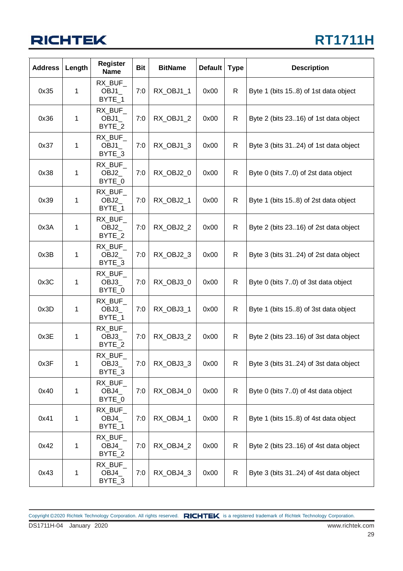## **RT1711H**

| <b>Address</b> | Length | Register<br><b>Name</b>    | <b>Bit</b> | <b>BitName</b> | <b>Default</b> | <b>Type</b> | <b>Description</b>                    |
|----------------|--------|----------------------------|------------|----------------|----------------|-------------|---------------------------------------|
| 0x35           | 1      | RX BUF<br>OBJ1<br>BYTE_1   | 7:0        | RX_OBJ1_1      | 0x00           | R           | Byte 1 (bits 15.8) of 1st data object |
| 0x36           | 1      | RX_BUF_<br>OBJ1<br>BYTE_2  | 7:0        | RX_OBJ1_2      | 0x00           | R           | Byte 2 (bits 2316) of 1st data object |
| 0x37           | 1      | RX_BUF_<br>OBJ1<br>BYTE 3  | 7:0        | RX_OBJ1_3      | 0x00           | R.          | Byte 3 (bits 3124) of 1st data object |
| 0x38           | 1      | RX_BUF_<br>OBJ2<br>BYTE_0  | 7:0        | RX_OBJ2_0      | 0x00           | R           | Byte 0 (bits 7.0) of 2st data object  |
| 0x39           | 1      | RX_BUF_<br>OBJ2_<br>BYTE_1 | 7:0        | RX_OBJ2_1      | 0x00           | R           | Byte 1 (bits 15.8) of 2st data object |
| 0x3A           | 1      | RX_BUF_<br>OBJ2<br>BYTE_2  | 7:0        | RX_OBJ2_2      | 0x00           | R           | Byte 2 (bits 2316) of 2st data object |
| 0x3B           | 1      | RX_BUF_<br>OBJ2_<br>BYTE_3 | 7:0        | RX_OBJ2_3      | 0x00           | R           | Byte 3 (bits 3124) of 2st data object |
| 0x3C           | 1      | RX BUF<br>OBJ3<br>BYTE_0   | 7:0        | RX_OBJ3_0      | 0x00           | R           | Byte 0 (bits 7.0) of 3st data object  |
| 0x3D           | 1      | RX_BUF_<br>OBJ3_<br>BYTE_1 | 7:0        | RX_OBJ3_1      | 0x00           | R           | Byte 1 (bits 15.8) of 3st data object |
| 0x3E           | 1      | RX_BUF_<br>OBJ3<br>BYTE_2  | 7:0        | RX_OBJ3_2      | 0x00           | R.          | Byte 2 (bits 2316) of 3st data object |
| 0x3F           | 1      | RX_BUF_<br>OBJ3_<br>BYTE 3 | 7:0        | RX_OBJ3_3      | 0x00           | R           | Byte 3 (bits 3124) of 3st data object |
| 0x40           | 1      | RX_BUF_<br>OBJ4<br>BYTE_0  | 7:0        | RX_OBJ4_0      | 0x00           | R           | Byte 0 (bits 70) of 4st data object   |
| 0x41           | 1      | RX_BUF_<br>OBJ4_<br>BYTE_1 | 7:0        | RX OBJ4 1      | 0x00           | R           | Byte 1 (bits 15.8) of 4st data object |
| 0x42           | 1      | RX_BUF_<br>OBJ4_<br>BYTE_2 | 7:0        | RX_OBJ4_2      | 0x00           | R           | Byte 2 (bits 2316) of 4st data object |
| 0x43           | 1      | RX_BUF_<br>OBJ4_<br>BYTE_3 | 7:0        | RX_OBJ4_3      | 0x00           | R           | Byte 3 (bits 3124) of 4st data object |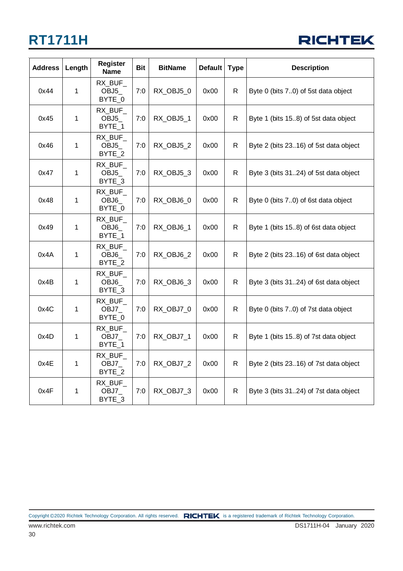

| <b>Address</b> | Length | <b>Register</b><br><b>Name</b>        | <b>Bit</b> | <b>BitName</b> | <b>Default</b> | <b>Type</b>  | <b>Description</b>                    |
|----------------|--------|---------------------------------------|------------|----------------|----------------|--------------|---------------------------------------|
| 0x44           | 1      | RX_BUF_<br>OBJ5<br>BYTE_0             | 7:0        | RX OBJ5 0      | 0x00           | R            | Byte 0 (bits 70) of 5st data object   |
| 0x45           | 1      | RX_BUF_<br>OBJ <sub>5</sub><br>BYTE 1 | 7:0        | RX_OBJ5_1      | 0x00           | $\mathsf{R}$ | Byte 1 (bits 15.8) of 5st data object |
| 0x46           | 1      | RX_BUF_<br>OBJ <sub>5</sub><br>BYTE_2 | 7:0        | RX_OBJ5_2      | 0x00           | R            | Byte 2 (bits 2316) of 5st data object |
| 0x47           | 1      | RX_BUF_<br>OBJ5<br>BYTE_3             | 7:0        | RX_OBJ5_3      | 0x00           | R            | Byte 3 (bits 3124) of 5st data object |
| 0x48           | 1      | RX_BUF_<br>OBJ6<br>BYTE_0             | 7:0        | RX_OBJ6_0      | 0x00           | $\mathsf{R}$ | Byte 0 (bits 70) of 6st data object   |
| 0x49           | 1      | RX_BUF_<br>OBJ6<br>BYTE_1             | 7:0        | RX_OBJ6_1      | 0x00           | R            | Byte 1 (bits 15.8) of 6st data object |
| 0x4A           | 1      | RX BUF<br>OBJ6<br>BYTE 2              | 7:0        | RX_OBJ6_2      | 0x00           | R            | Byte 2 (bits 2316) of 6st data object |
| 0x4B           | 1      | RX BUF<br>OBJ6<br>BYTE 3              | 7:0        | RX_OBJ6_3      | 0x00           | R.           | Byte 3 (bits 3124) of 6st data object |
| 0x4C           | 1      | RX BUF<br>OBJ7_<br>BYTE 0             | 7:0        | RX OBJ7 0      | 0x00           | R.           | Byte 0 (bits 70) of 7st data object   |
| 0x4D           | 1      | RX_BUF_<br>OBJ7_<br>BYTE 1            | 7:0        | RX_OBJ7_1      | 0x00           | R.           | Byte 1 (bits 15.8) of 7st data object |
| 0x4E           | 1      | RX_BUF_<br>OBJ7_<br>BYTE_2            | 7:0        | RX OBJ7 2      | 0x00           | R            | Byte 2 (bits 2316) of 7st data object |
| 0x4F           | 1      | RX_BUF_<br>OBJ7_<br>BYTE_3            | 7:0        | RX_OBJ7_3      | 0x00           | R            | Byte 3 (bits 3124) of 7st data object |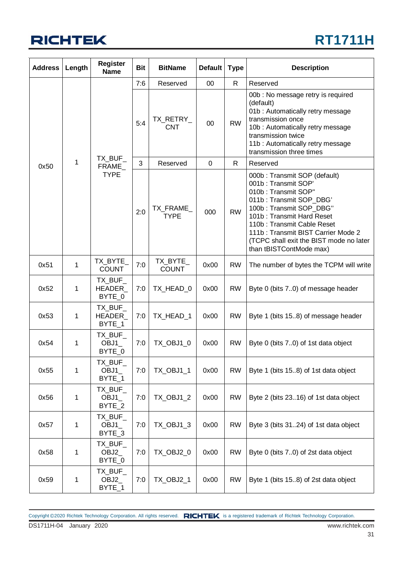

| <b>Address</b> | Length  | <b>Register</b><br><b>Name</b> | <b>Bit</b>              | <b>BitName</b>           | Default     | <b>Type</b>                                                                                                                                                                                                                        | <b>Description</b>                                                                                                                                                                                                                                                                                      |
|----------------|---------|--------------------------------|-------------------------|--------------------------|-------------|------------------------------------------------------------------------------------------------------------------------------------------------------------------------------------------------------------------------------------|---------------------------------------------------------------------------------------------------------------------------------------------------------------------------------------------------------------------------------------------------------------------------------------------------------|
|                |         |                                | 7:6                     | Reserved                 | $00\,$      | $\mathsf{R}$                                                                                                                                                                                                                       | Reserved                                                                                                                                                                                                                                                                                                |
|                | TX_BUF_ | 5:4                            | TX_RETRY_<br><b>CNT</b> | 00                       | <b>RW</b>   | 00b : No message retry is required<br>(default)<br>01b: Automatically retry message<br>transmission once<br>10b: Automatically retry message<br>transmission twice<br>11b: Automatically retry message<br>transmission three times |                                                                                                                                                                                                                                                                                                         |
| 0x50           | 1       | FRAME_                         | 3                       | Reserved                 | $\mathbf 0$ | $\mathsf{R}$                                                                                                                                                                                                                       | Reserved                                                                                                                                                                                                                                                                                                |
|                |         | <b>TYPE</b>                    | 2:0                     | TX_FRAME_<br><b>TYPE</b> | 000         | <b>RW</b>                                                                                                                                                                                                                          | 000b: Transmit SOP (default)<br>001b: Transmit SOP'<br>010b: Transmit SOP"<br>011b: Transmit SOP_DBG'<br>100b: Transmit SOP_DBG"<br>101b: Transmit Hard Reset<br>110b: Transmit Cable Reset<br>111b: Transmit BIST Carrier Mode 2<br>(TCPC shall exit the BIST mode no later<br>than tBISTContMode max) |
| 0x51           | 1       | TX_BYTE_<br><b>COUNT</b>       | 7:0                     | TX_BYTE_<br><b>COUNT</b> | 0x00        | <b>RW</b>                                                                                                                                                                                                                          | The number of bytes the TCPM will write                                                                                                                                                                                                                                                                 |
| 0x52           | 1       | TX_BUF_<br>HEADER_<br>BYTE_0   | 7:0                     | TX_HEAD_0                | 0x00        | <b>RW</b>                                                                                                                                                                                                                          | Byte 0 (bits 70) of message header                                                                                                                                                                                                                                                                      |
| 0x53           | 1       | TX_BUF_<br>HEADER_<br>BYTE_1   | 7:0                     | TX_HEAD_1                | 0x00        | <b>RW</b>                                                                                                                                                                                                                          | Byte 1 (bits 15.8) of message header                                                                                                                                                                                                                                                                    |
| 0x54           | 1       | TX_BUF_<br>OBJ1<br>BYTE_0      | 7:0                     | TX_OBJ1_0                | 0x00        | <b>RW</b>                                                                                                                                                                                                                          | Byte 0 (bits 70) of 1st data object                                                                                                                                                                                                                                                                     |
| 0x55           | 1       | TX_BUF_<br>OBJ1<br>BYTE_1      | 7:0                     | TX_OBJ1_1                | 0x00        | <b>RW</b>                                                                                                                                                                                                                          | Byte 1 (bits 15.8) of 1st data object                                                                                                                                                                                                                                                                   |
| 0x56           | 1       | TX_BUF_<br>OBJ1<br>BYTE_2      | 7:0                     | <b>TX_OBJ1_2</b>         | 0x00        | <b>RW</b>                                                                                                                                                                                                                          | Byte 2 (bits 2316) of 1st data object                                                                                                                                                                                                                                                                   |
| 0x57           | 1       | TX_BUF_<br>OBJ1<br>BYTE_3      | 7:0                     | TX_OBJ1_3                | 0x00        | <b>RW</b>                                                                                                                                                                                                                          | Byte 3 (bits 3124) of 1st data object                                                                                                                                                                                                                                                                   |
| 0x58           | 1       | TX_BUF_<br>OBJ2_<br>BYTE_0     | 7:0                     | TX_OBJ2_0                | 0x00        | <b>RW</b>                                                                                                                                                                                                                          | Byte 0 (bits 70) of 2st data object                                                                                                                                                                                                                                                                     |
| 0x59           | 1       | TX_BUF_<br>OBJ2_<br>BYTE_1     | 7:0                     | TX_OBJ2_1                | 0x00        | <b>RW</b>                                                                                                                                                                                                                          | Byte 1 (bits 15.8) of 2st data object                                                                                                                                                                                                                                                                   |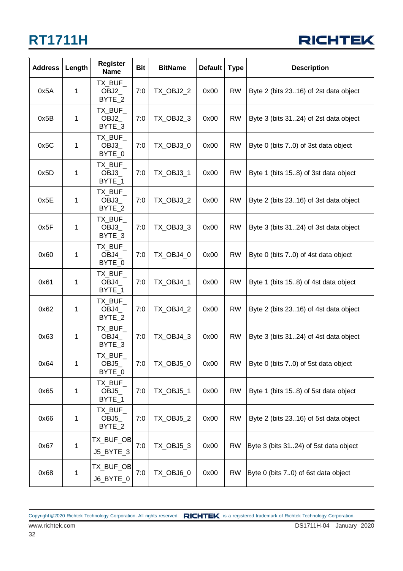

| <b>Address</b> | Length | <b>Register</b><br><b>Name</b>        | <b>Bit</b> | <b>BitName</b>   | <b>Default</b> | <b>Type</b> | <b>Description</b>                    |
|----------------|--------|---------------------------------------|------------|------------------|----------------|-------------|---------------------------------------|
| 0x5A           | 1      | TX_BUF_<br>OBJ2<br>BYTE_2             | 7:0        | <b>TX_OBJ2_2</b> | 0x00           | <b>RW</b>   | Byte 2 (bits 2316) of 2st data object |
| 0x5B           | 1      | TX_BUF_<br>OBJ2<br>BYTE_3             | 7:0        | TX_OBJ2_3        | 0x00           | <b>RW</b>   | Byte 3 (bits 3124) of 2st data object |
| 0x5C           | 1      | TX BUF<br>OBJ3<br>BYTE_0              | 7:0        | TX_OBJ3_0        | 0x00           | <b>RW</b>   | Byte 0 (bits 7.0) of 3st data object  |
| 0x5D           | 1      | TX_BUF_<br>OBJ3<br>BYTE_1             | 7:0        | TX_OBJ3_1        | 0x00           | <b>RW</b>   | Byte 1 (bits 15.8) of 3st data object |
| 0x5E           | 1      | TX_BUF_<br>OBJ3<br>BYTE_2             | 7:0        | <b>TX_OBJ3_2</b> | 0x00           | <b>RW</b>   | Byte 2 (bits 2316) of 3st data object |
| 0x5F           | 1      | TX_BUF_<br>OBJ3<br>BYTE_3             | 7:0        | TX_OBJ3_3        | 0x00           | <b>RW</b>   | Byte 3 (bits 3124) of 3st data object |
| 0x60           | 1      | TX_BUF_<br>OBJ4<br>BYTE_0             | 7:0        | TX_OBJ4_0        | 0x00           | <b>RW</b>   | Byte 0 (bits 7.0) of 4st data object  |
| 0x61           | 1      | TX BUF<br>OBJ4<br>BYTE_1              | 7:0        | TX_OBJ4_1        | 0x00           | <b>RW</b>   | Byte 1 (bits 15.8) of 4st data object |
| 0x62           | 1      | TX_BUF_<br>OBJ4_<br>BYTE_2            | 7:0        | TX_OBJ4_2        | 0x00           | <b>RW</b>   | Byte 2 (bits 2316) of 4st data object |
| 0x63           | 1      | TX_BUF_<br>OBJ4<br>BYTE_3             | 7:0        | TX_OBJ4_3        | 0x00           | <b>RW</b>   | Byte 3 (bits 3124) of 4st data object |
| 0x64           | 1      | TX_BUF_<br>OBJ <sub>5</sub><br>BYTE_0 | 7:0        | TX_OBJ5_0        | 0x00           | <b>RW</b>   | Byte 0 (bits 70) of 5st data object   |
| 0x65           | 1      | TX_BUF_<br>OBJ <sub>5</sub><br>BYTE_1 | 7:0        | TX_OBJ5_1        | 0x00           | <b>RW</b>   | Byte 1 (bits 15.8) of 5st data object |
| 0x66           | 1      | TX_BUF_<br>OBJ <sub>5</sub><br>BYTE_2 | 7:0        | <b>TX_OBJ5_2</b> | 0x00           | <b>RW</b>   | Byte 2 (bits 2316) of 5st data object |
| 0x67           | 1      | TX_BUF_OB<br>J5_BYTE_3                | 7:0        | TX_OBJ5_3        | 0x00           | <b>RW</b>   | Byte 3 (bits 3124) of 5st data object |
| 0x68           | 1      | TX_BUF_OB<br>J6_BYTE_0                | 7:0        | TX_OBJ6_0        | 0x00           | <b>RW</b>   | Byte 0 (bits 70) of 6st data object   |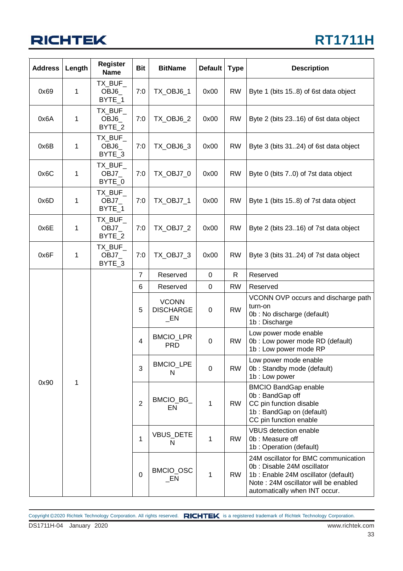## **RT1711H**

| <b>Address</b> | Length      | <b>Register</b><br><b>Name</b> | <b>Bit</b>     | <b>BitName</b>                             | <b>Default</b>   | <b>Type</b> | <b>Description</b>                                                                                                                                                                 |  |  |  |  |  |              |                |                 |              |           |                                                                                                                                 |
|----------------|-------------|--------------------------------|----------------|--------------------------------------------|------------------|-------------|------------------------------------------------------------------------------------------------------------------------------------------------------------------------------------|--|--|--|--|--|--------------|----------------|-----------------|--------------|-----------|---------------------------------------------------------------------------------------------------------------------------------|
| 0x69           | 1           | TX BUF<br>OBJ6<br>BYTE_1       | 7:0            | TX_OBJ6_1                                  | 0x00             | <b>RW</b>   | Byte 1 (bits 15.8) of 6st data object                                                                                                                                              |  |  |  |  |  |              |                |                 |              |           |                                                                                                                                 |
| 0x6A           | $\mathbf 1$ | TX_BUF_<br>OBJ6<br>BYTE_2      | 7:0            | <b>TX_OBJ6_2</b>                           | 0x00             | <b>RW</b>   | Byte 2 (bits 2316) of 6st data object                                                                                                                                              |  |  |  |  |  |              |                |                 |              |           |                                                                                                                                 |
| 0x6B           | 1           | TX_BUF_<br>OBJ6<br>BYTE_3      | 7:0            | <b>TX_OBJ6_3</b>                           | 0x00             | <b>RW</b>   | Byte 3 (bits 3124) of 6st data object                                                                                                                                              |  |  |  |  |  |              |                |                 |              |           |                                                                                                                                 |
| 0x6C           | 1           | TX_BUF_<br>OBJ7<br>BYTE_0      | 7:0            | TX_OBJ7_0                                  | 0x00             | <b>RW</b>   | Byte 0 (bits 7.0) of 7st data object                                                                                                                                               |  |  |  |  |  |              |                |                 |              |           |                                                                                                                                 |
| 0x6D           | $\mathbf 1$ | TX_BUF_<br>OBJ7_<br>BYTE_1     | 7:0            | TX_OBJ7_1                                  | 0x00             | <b>RW</b>   | Byte 1 (bits 15.8) of 7st data object                                                                                                                                              |  |  |  |  |  |              |                |                 |              |           |                                                                                                                                 |
| 0x6E           | 1           | TX_BUF_<br>OBJ7<br>BYTE_2      | 7:0            | <b>TX_OBJ7_2</b>                           | 0x00             | <b>RW</b>   | Byte 2 (bits 2316) of 7st data object                                                                                                                                              |  |  |  |  |  |              |                |                 |              |           |                                                                                                                                 |
| 0x6F           | 1           | TX BUF<br>OBJ7_<br>BYTE_3      | 7:0            | TX OBJ7 3                                  | 0x00             | <b>RW</b>   | Byte 3 (bits 3124) of 7st data object                                                                                                                                              |  |  |  |  |  |              |                |                 |              |           |                                                                                                                                 |
|                |             |                                | 7              | Reserved                                   | $\pmb{0}$        | R           | Reserved                                                                                                                                                                           |  |  |  |  |  |              |                |                 |              |           |                                                                                                                                 |
|                |             |                                | 6              | Reserved                                   | $\mathbf 0$      | <b>RW</b>   | Reserved                                                                                                                                                                           |  |  |  |  |  |              |                |                 |              |           |                                                                                                                                 |
|                |             |                                | 5              | <b>VCONN</b><br><b>DISCHARGE</b><br>$\_EN$ | $\boldsymbol{0}$ | <b>RW</b>   | VCONN OVP occurs and discharge path<br>turn-on<br>0b: No discharge (default)<br>1b: Discharge                                                                                      |  |  |  |  |  |              |                |                 |              |           |                                                                                                                                 |
|                |             |                                | $\overline{4}$ | <b>BMCIO_LPR</b><br><b>PRD</b>             | $\boldsymbol{0}$ | <b>RW</b>   | Low power mode enable<br>0b : Low power mode RD (default)<br>1b : Low power mode RP                                                                                                |  |  |  |  |  |              |                |                 |              |           |                                                                                                                                 |
|                |             |                                | 3              | <b>BMCIO_LPE</b><br>N                      | $\mathbf 0$      | <b>RW</b>   | Low power mode enable<br>0b: Standby mode (default)<br>1b: Low power                                                                                                               |  |  |  |  |  |              |                |                 |              |           |                                                                                                                                 |
| 0x90           |             |                                |                |                                            |                  |             |                                                                                                                                                                                    |  |  |  |  |  | $\mathbf{1}$ | $\overline{2}$ | BMCIO_BG_<br>EN | $\mathbf{1}$ | <b>RW</b> | <b>BMCIO BandGap enable</b><br>0b: BandGap off<br>CC pin function disable<br>1b: BandGap on (default)<br>CC pin function enable |
|                |             |                                | $\mathbf{1}$   | VBUS_DETE<br>N                             | 1                | <b>RW</b>   | <b>VBUS detection enable</b><br>0b: Measure off<br>1b : Operation (default)                                                                                                        |  |  |  |  |  |              |                |                 |              |           |                                                                                                                                 |
|                |             |                                | $\mathbf 0$    | BMCIO_OSC<br>$\_EN$                        | $\mathbf{1}$     | <b>RW</b>   | 24M oscillator for BMC communication<br>0b: Disable 24M oscillator<br>1b: Enable 24M oscillator (default)<br>Note: 24M oscillator will be enabled<br>automatically when INT occur. |  |  |  |  |  |              |                |                 |              |           |                                                                                                                                 |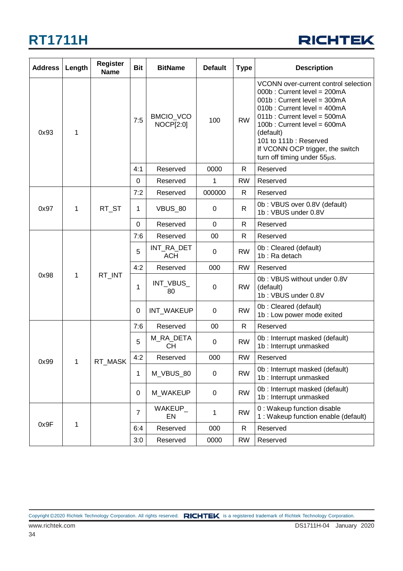

| <b>Address</b> | Length       | <b>Register</b><br><b>Name</b> | <b>Bit</b>     | <b>BitName</b>                | <b>Default</b> | <b>Type</b>  | <b>Description</b>                                                                                                                                                                                                                                                                                       |  |
|----------------|--------------|--------------------------------|----------------|-------------------------------|----------------|--------------|----------------------------------------------------------------------------------------------------------------------------------------------------------------------------------------------------------------------------------------------------------------------------------------------------------|--|
| 0x93           | 1            |                                | 7:5            | BMCIO_VCO<br><b>NOCP[2:0]</b> | 100            | <b>RW</b>    | VCONN over-current control selection<br>000b: Current level = 200mA<br>001b: Current level = 300mA<br>010b: Current level = 400mA<br>011b: Current level = 500mA<br>100b: Current level = 600mA<br>(default)<br>101 to 111b: Reserved<br>If VCONN OCP trigger, the switch<br>turn off timing under 55µs. |  |
|                |              |                                | 4:1            | Reserved                      | 0000           | R.           | Reserved                                                                                                                                                                                                                                                                                                 |  |
|                |              |                                | 0              | Reserved                      | 1              | <b>RW</b>    | Reserved                                                                                                                                                                                                                                                                                                 |  |
| 0x97           | 1            | RT_ST                          | 7:2            | Reserved                      | 000000         | R            | Reserved                                                                                                                                                                                                                                                                                                 |  |
|                |              |                                | 1              | <b>VBUS_80</b>                | 0              | $\mathsf{R}$ | 0b: VBUS over 0.8V (default)<br>1b: VBUS under 0.8V                                                                                                                                                                                                                                                      |  |
|                |              |                                | $\mathbf 0$    | Reserved                      | $\mathbf 0$    | $\mathsf{R}$ | Reserved                                                                                                                                                                                                                                                                                                 |  |
| 0x98           | 1            | RT_INT                         | 7:6            | Reserved                      | 00             | $\mathsf{R}$ | Reserved                                                                                                                                                                                                                                                                                                 |  |
|                |              |                                | 5              | INT_RA_DET<br><b>ACH</b>      | $\pmb{0}$      | <b>RW</b>    | 0b: Cleared (default)<br>1b: Ra detach                                                                                                                                                                                                                                                                   |  |
|                |              |                                | 4:2            | Reserved                      | 000            | <b>RW</b>    | Reserved                                                                                                                                                                                                                                                                                                 |  |
|                |              |                                | 1              | INT_VBUS_<br>80               | 0              | <b>RW</b>    | 0b: VBUS without under 0.8V<br>(default)<br>1b: VBUS under 0.8V                                                                                                                                                                                                                                          |  |
|                |              |                                | 0              | INT_WAKEUP                    | 0              | <b>RW</b>    | 0b: Cleared (default)<br>1b : Low power mode exited                                                                                                                                                                                                                                                      |  |
|                | 1            | RT_MASK                        | 7:6            | Reserved                      | 00             | $\mathsf{R}$ | Reserved                                                                                                                                                                                                                                                                                                 |  |
| 0x99           |              |                                | 5              | M_RA_DETA<br><b>CH</b>        | 0              | <b>RW</b>    | 0b : Interrupt masked (default)<br>1b : Interrupt unmasked                                                                                                                                                                                                                                               |  |
|                |              |                                | 4:2            | Reserved                      | 000            | <b>RW</b>    | Reserved                                                                                                                                                                                                                                                                                                 |  |
|                |              |                                | 1              | M_VBUS_80                     | $\mathbf 0$    | <b>RW</b>    | 0b : Interrupt masked (default)<br>1b : Interrupt unmasked                                                                                                                                                                                                                                               |  |
|                |              |                                | 0              | M WAKEUP                      | 0              | <b>RW</b>    | 0b: Interrupt masked (default)<br>1b : Interrupt unmasked                                                                                                                                                                                                                                                |  |
| 0x9F           | $\mathbf{1}$ |                                | $\overline{7}$ | WAKEUP_<br>EN                 | 1              | <b>RW</b>    | 0 : Wakeup function disable<br>1 : Wakeup function enable (default)                                                                                                                                                                                                                                      |  |
|                |              |                                | 6:4            | Reserved                      | 000            | R            | Reserved                                                                                                                                                                                                                                                                                                 |  |
|                |              |                                | 3:0            | Reserved                      | 0000           | <b>RW</b>    | Reserved                                                                                                                                                                                                                                                                                                 |  |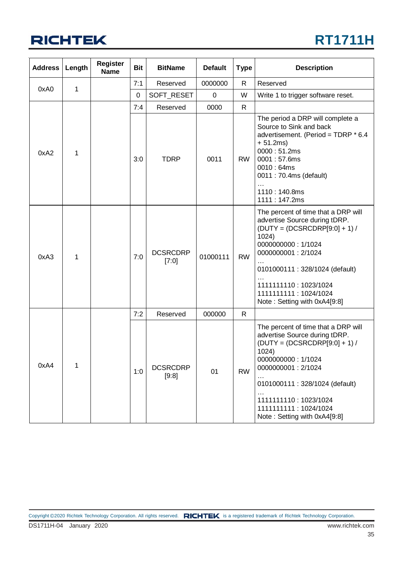

| <b>Address</b> | Length | <b>Register</b><br><b>Name</b> | <b>Bit</b> | <b>BitName</b>                 | <b>Default</b> | <b>Type</b>                        | <b>Description</b>                                                                                                                                                                                                                                                                 |  |
|----------------|--------|--------------------------------|------------|--------------------------------|----------------|------------------------------------|------------------------------------------------------------------------------------------------------------------------------------------------------------------------------------------------------------------------------------------------------------------------------------|--|
| 0xA0           | 1      |                                | 7:1        | Reserved                       | 0000000        | R                                  | Reserved                                                                                                                                                                                                                                                                           |  |
|                |        |                                | $\pmb{0}$  | SOFT_RESET<br>$\mathbf 0$<br>W |                | Write 1 to trigger software reset. |                                                                                                                                                                                                                                                                                    |  |
|                |        |                                | 7:4        | Reserved                       | 0000           | R                                  |                                                                                                                                                                                                                                                                                    |  |
| 0xA2           | 1      |                                | 3:0        | <b>TDRP</b>                    | 0011           | <b>RW</b>                          | The period a DRP will complete a<br>Source to Sink and back<br>advertisement. (Period = TDRP * 6.4<br>$+ 51.2ms)$<br>0000:51.2ms<br>0001:57.6ms<br>0010:64ms<br>0011: 70.4ms (default)<br>1110:140.8ms<br>1111:147.2ms                                                             |  |
| 0xA3           | 1      |                                | 7:0        | <b>DCSRCDRP</b><br>[7:0]       | 01000111       | <b>RW</b>                          | The percent of time that a DRP will<br>advertise Source during tDRP.<br>$(DUTY = (DCSRCDRP[9:0] + 1) /$<br>1024)<br>0000000000: 1/1024<br>0000000001: 2/1024<br>0101000111 : 328/1024 (default)<br>1111111110: 1023/1024<br>1111111111 : 1024/1024<br>Note: Setting with 0xA4[9:8] |  |
|                |        |                                | 7:2        | Reserved                       | 000000         | $\mathsf{R}$                       |                                                                                                                                                                                                                                                                                    |  |
| 0xA4           | 1      |                                | 1:0        | <b>DCSRCDRP</b><br>[9:8]       | 01             | <b>RW</b>                          | The percent of time that a DRP will<br>advertise Source during tDRP.<br>$(DUTY = (DCSRCDRP[9:0] + 1)$<br>1024)<br>0000000000: 1/1024<br>0000000001: 2/1024<br>0101000111: 328/1024 (default)<br>1111111110: 1023/1024<br>1111111111 : 1024/1024<br>Note: Setting with 0xA4[9:8]    |  |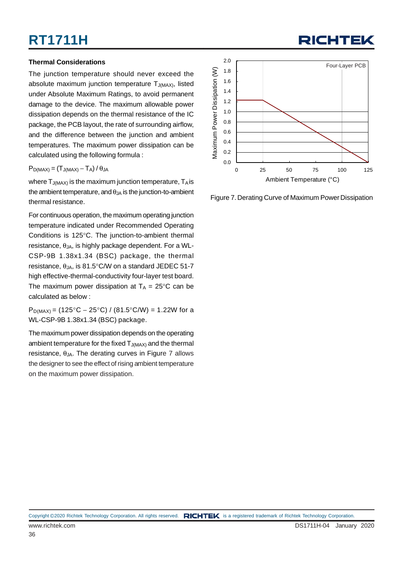#### **Thermal Considerations**

The junction temperature should never exceed the absolute maximum junction temperature  $T_{J(MAX)}$ , listed under Absolute Maximum Ratings, to avoid permanent damage to the device. The maximum allowable power dissipation depends on the thermal resistance of the IC package, the PCB layout, the rate of surrounding airflow, and the difference between the junction and ambient temperatures. The maximum power dissipation can be calculated using the following formula :

 $P_{D(MAX)} = (T_{J(MAX)} - T_A)/\theta_{JA}$ 

where  $T_{J(MAX)}$  is the maximum junction temperature,  $T_A$  is the ambient temperature, and  $\theta_{JA}$  is the junction-to-ambient thermal resistance.

For continuous operation, the maximum operating junction temperature indicated under Recommended Operating Conditions is 125°C. The junction-to-ambient thermal resistance,  $θ_{JA}$ , is highly package dependent. For a WL-CSP-9B 1.38x1.34 (BSC) package, the thermal resistance,  $\theta_{JA}$ , is 81.5°C/W on a standard JEDEC 51-7 high effective-thermal-conductivity four-layer test board. The maximum power dissipation at  $T_A = 25^{\circ}$ C can be calculated as below :

 $P_{D(MAX)} = (125^{\circ}C - 25^{\circ}C) / (81.5^{\circ}C/W) = 1.22W$  for a WL-CSP-9B 1.38x1.34 (BSC) package.

The maximum power dissipation depends on the operating ambient temperature for the fixed  $T_{J(MAX)}$  and the thermal resistance,  $\theta_{JA}$ . The derating curves in Figure 7 allows the designer to see the effect of rising ambient temperature on the maximum power dissipation.



RICHTEI

Figure 7. Derating Curve of Maximum Power Dissipation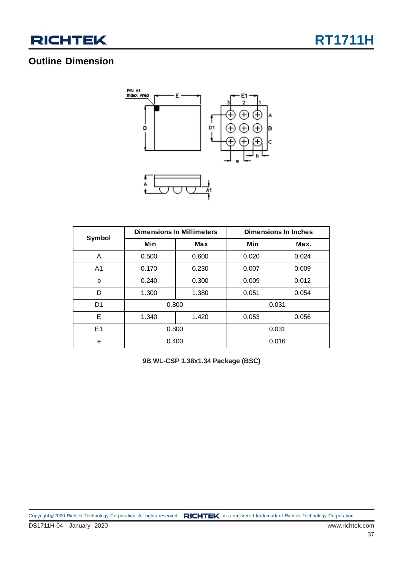

### **Outline Dimension**



| Symbol         |       | <b>Dimensions In Millimeters</b> | <b>Dimensions In Inches</b> |       |  |  |
|----------------|-------|----------------------------------|-----------------------------|-------|--|--|
|                | Min   | Max                              | Min                         | Max.  |  |  |
| A              | 0.500 | 0.600                            | 0.020                       | 0.024 |  |  |
| A <sub>1</sub> | 0.170 | 0.230                            | 0.007                       | 0.009 |  |  |
| b              | 0.240 | 0.300                            | 0.009                       | 0.012 |  |  |
| D              | 1.300 | 1.380                            | 0.051                       | 0.054 |  |  |
| D <sub>1</sub> | 0.800 |                                  | 0.031                       |       |  |  |
| E              | 1.340 | 1.420                            | 0.053                       | 0.056 |  |  |
| E <sub>1</sub> | 0.800 |                                  | 0.031                       |       |  |  |
| e              | 0.400 |                                  | 0.016                       |       |  |  |

**9B WL-CSP 1.38x1.34 Package (BSC)**